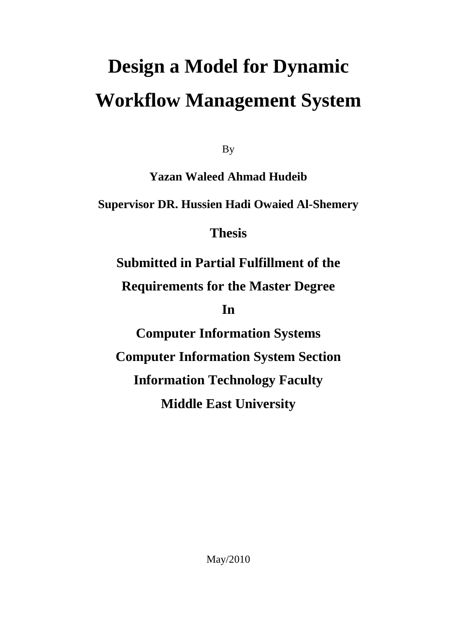# **Design a Model for Dynamic Workflow Management System**

By

**Yazan Waleed Ahmad Hudeib**

**Supervisor DR. Hussien Hadi Owaied Al-Shemery**

**Thesis** 

**Submitted in Partial Fulfillment of the**

**Requirements for the Master Degree** 

**In** 

**Computer Information Systems Computer Information System Section Information Technology Faculty Middle East University** 

May/2010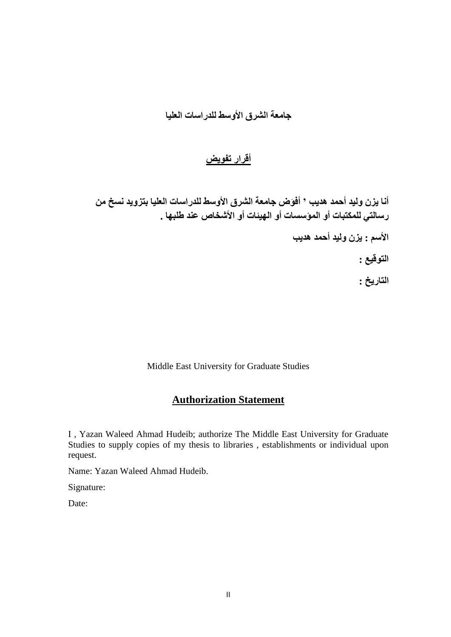### **جبمعة الشرق األوسط للدراسبت العليب**

### **أقرار تفىيض**

أنـا يزن وليد أحمد هديب ' أفوَض جامعة الشرق الأوسط للدراسات العليا بتزويد نسخ من **رسبلتي للمكتببت أو المؤسسبت أو الهيئبت أو األشخبص عىد طلبهب .**

**األسم : يزن وليد أحمد هديب**

**التىقيع :**

**التبريخ :**

Middle East University for Graduate Studies

### **Authorization Statement**

I , Yazan Waleed Ahmad Hudeib; authorize The Middle East University for Graduate Studies to supply copies of my thesis to libraries , establishments or individual upon request.

Name: Yazan Waleed Ahmad Hudeib.

Signature:

Date: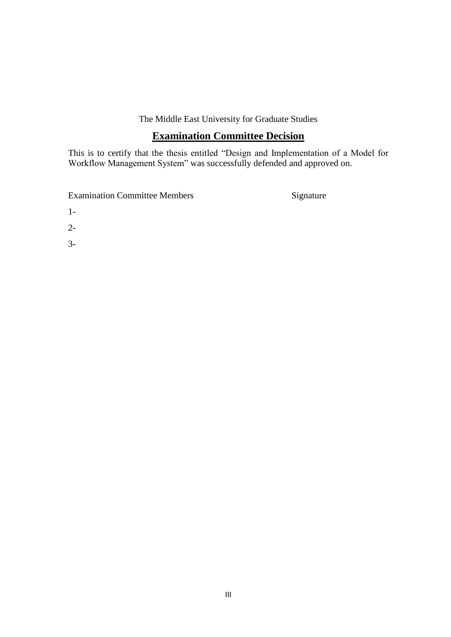The Middle East University for Graduate Studies

### **Examination Committee Decision**

This is to certify that the thesis entitled "Design and Implementation of a Model for Workflow Management System" was successfully defended and approved on.

Examination Committee Members Signature

- 1-
- 2-
- 3-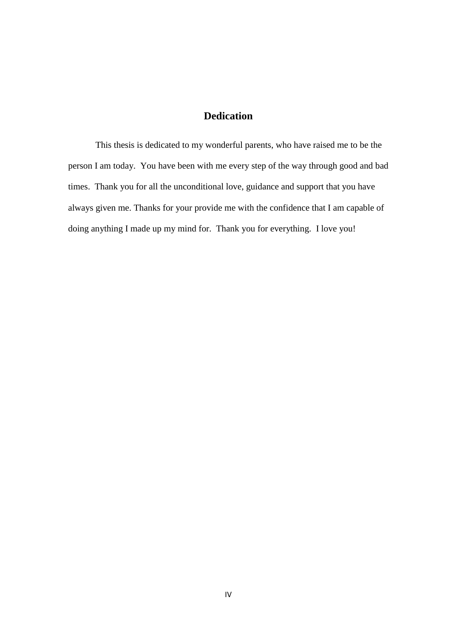### **Dedication**

This thesis is dedicated to my wonderful parents, who have raised me to be the person I am today. You have been with me every step of the way through good and bad times. Thank you for all the unconditional love, guidance and support that you have always given me. Thanks for your provide me with the confidence that I am capable of doing anything I made up my mind for. Thank you for everything. I love you!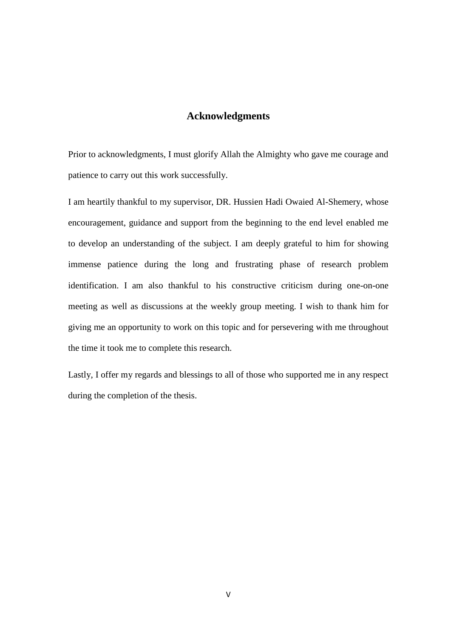#### **Acknowledgments**

Prior to acknowledgments, I must glorify Allah the Almighty who gave me courage and patience to carry out this work successfully.

I am heartily thankful to my supervisor, DR. Hussien Hadi Owaied Al-Shemery, whose encouragement, guidance and support from the beginning to the end level enabled me to develop an understanding of the subject. I am deeply grateful to him for showing immense patience during the long and frustrating phase of research problem identification. I am also thankful to his constructive criticism during one-on-one meeting as well as discussions at the weekly group meeting. I wish to thank him for giving me an opportunity to work on this topic and for persevering with me throughout the time it took me to complete this research.

Lastly, I offer my regards and blessings to all of those who supported me in any respect during the completion of the thesis.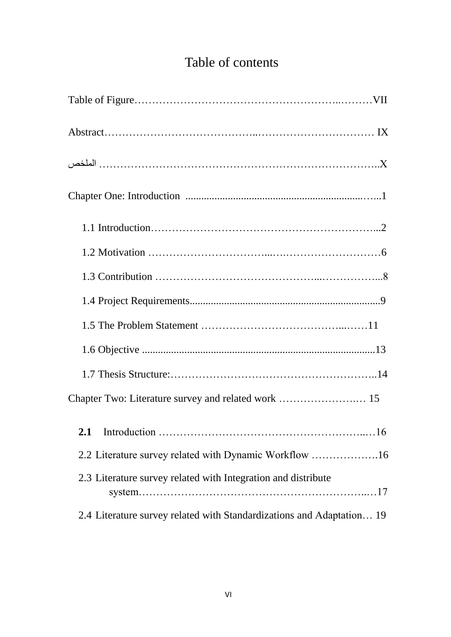# Table of contents

| 2.2 Literature survey related with Dynamic Workflow 16                |
|-----------------------------------------------------------------------|
| 2.3 Literature survey related with Integration and distribute         |
| 2.4 Literature survey related with Standardizations and Adaptation 19 |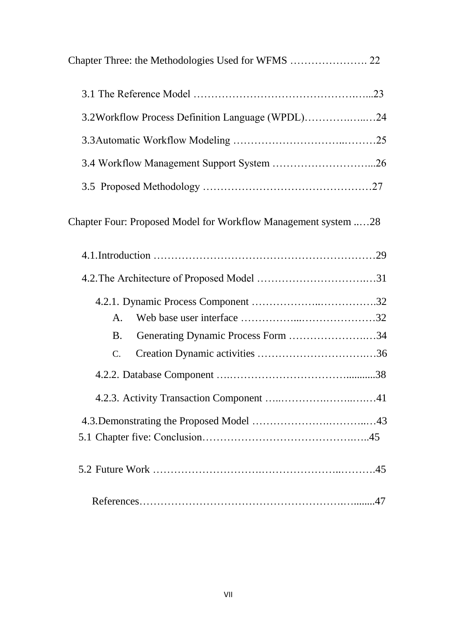| 3.2Workflow Process Definition Language (WPDL)24               |  |
|----------------------------------------------------------------|--|
|                                                                |  |
|                                                                |  |
|                                                                |  |
| Chapter Four: Proposed Model for Workflow Management system 28 |  |
|                                                                |  |
|                                                                |  |
|                                                                |  |
| A.                                                             |  |
| Generating Dynamic Process Form 34<br><b>B.</b>                |  |
| $\mathcal{C}$ .                                                |  |
|                                                                |  |
|                                                                |  |
|                                                                |  |
|                                                                |  |
|                                                                |  |
|                                                                |  |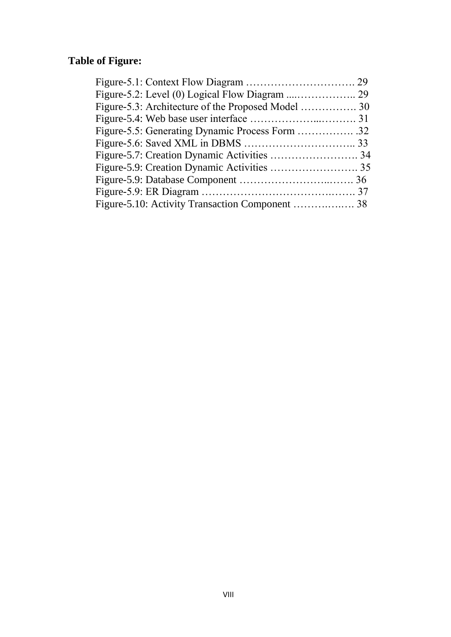## **Table of Figure:**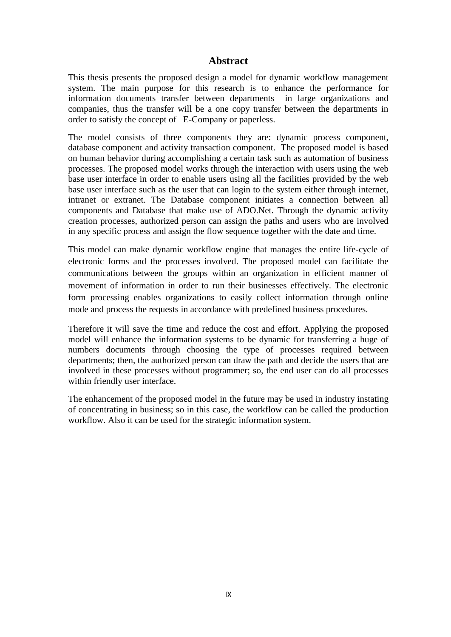#### **Abstract**

This thesis presents the proposed design a model for dynamic workflow management system. The main purpose for this research is to enhance the performance for information documents transfer between departments in large organizations and companies, thus the transfer will be a one copy transfer between the departments in order to satisfy the concept of E-Company or paperless.

The model consists of three components they are: dynamic process component, database component and activity transaction component. The proposed model is based on human behavior during accomplishing a certain task such as automation of business processes. The proposed model works through the interaction with users using the web base user interface in order to enable users using all the facilities provided by the web base user interface such as the user that can login to the system either through internet, intranet or extranet. The Database component initiates a connection between all components and Database that make use of ADO.Net. Through the dynamic activity creation processes, authorized person can assign the paths and users who are involved in any specific process and assign the flow sequence together with the date and time.

This model can make dynamic workflow engine that manages the entire life-cycle of electronic forms and the processes involved. The proposed model can facilitate the communications between the groups within an organization in efficient manner of movement of information in order to run their businesses effectively. The electronic form processing enables organizations to easily collect information through online mode and process the requests in accordance with predefined business procedures.

Therefore it will save the time and reduce the cost and effort. Applying the proposed model will enhance the information systems to be dynamic for transferring a huge of numbers documents through choosing the type of processes required between departments; then, the authorized person can draw the path and decide the users that are involved in these processes without programmer; so, the end user can do all processes within friendly user interface.

The enhancement of the proposed model in the future may be used in industry instating of concentrating in business; so in this case, the workflow can be called the production workflow. Also it can be used for the strategic information system.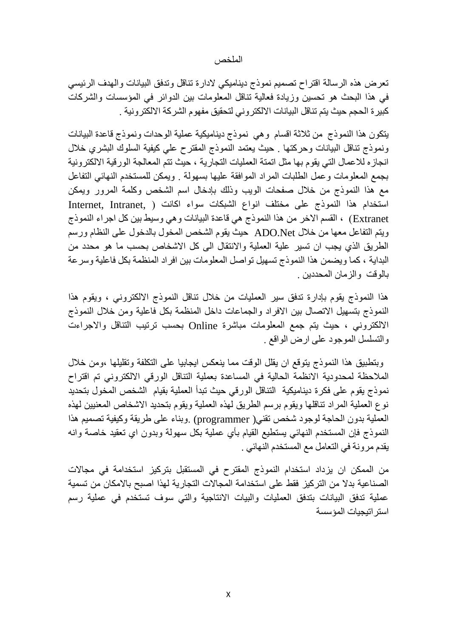#### الملخص

تعرض هذه الرسالة اقتراح تصميم نموذج ديناميكي لادارة تناقل وتدفق البيانات والهدف الرئيسي فى هذا البحث هو تحسين وزيادة فعالية تناقل المعلومات بين الدوائر في المَوْسسات والشركات كبير ة الحجم حيث يتم تناقل البيانات الالكتر و ني لتحقيق مفهوم الشر كة الالكتر و نية .

يتكون هذا النموذج من ثلاثة اقسام وهي نموذج ديناميكية عملية الوحدات ونموذج قاعدة البيانات ونموذج تناقل البيانات وحركتها . حيث يعتمد النموذج المقترح على كيفية السلوك البشري خلال انجاز ه للاعمال التي يقوم بها مثل اتمنة العمليات التجار ية ، حيث تتم المعالجة الور قية الالكتر ونية بجمع المعلومات وعمل الطلبات المراد الموافقة عليها بسهولة . ويمكن للمستخدم النهائي التفاعل مع هذا النموذج من خلال صفحات الويب وذلك بإدخال اسم الشخص وكلمة المرور ويمكن استخدام هذا النموذج على مختلف انواع الشبكات سواء اكانت ( ,Internet ,Intranet Extranet ) ، القسم الاخر من هذا النموذج هي قاعدة البيانات و هي وسيط بين كل اجراء النموذج ويتم التفاعل معها من خلال ADO.Net حيث يقوم الشخص المخول بالدخول على النظام ورسم الطريق الذي يجب ان تسير علية العملية والانتقال الى كل الاشخاص بحسب ما هو محدد من البداية ، كما ويضمن هذا النموذج نسهيل تواصل المعلومات بين افراد المنظمة بكل فاعلية وسرعة بالموقت والزمان المحددين .

هذا النموذج يقوم بإدارة تدفق سير العمليات من خلال تناقل النموذج الالكتروني ، ويقوم هذا النَّموذج بنسهيل الاتصال بين الافراد والجماعات داخل المنظمة بكل فاعلية ومن خلال النموذج الالكتروني ، حيث يتم جمع المعلومات مباشرة Online بحسب ترتيب التناقل والاجراءت والتسلسل الموجود علىي ارض الواقع .

وبتطبيق هذا النموذج يتوقع ان يقلل الوقت مما ينعكس ايجابيا على التكلفة وتقليلها ،ومن خلال الملاحظة لمحدودية الانظمة الحالية في المساعدة بعملية النّناقل الورقي الالكتروني تم اقتراح نموذج يقوم على فكرة ديناميكية التناقل الورقي حيث تبدأ العملية بقيام الشخص المخول بتحديد نوع العَملية المراد تناقلها ويقوم برسم الطريق لهذه العملية ويقوم بتحديد الاشخاص المعنيين لهذه العَملية بدون الحاجة لوجود شخص تقني( programmer) .وبناء على طريقة وكيفية تصميم هذا النَّموذج فإن المستخدم النهائي يستطيع القيام بأي عملية بكل سهولة وبدون اي تعقيد خاصنة وانه يقدم مرونة في التعامل مع المستخدم الذهائي .

من الممكن ان يزداد استخدام النموذج المقترح في المستقبل بتركيز استخدامة في مجالات الصناعية بدلا من التركيز ِ فقط على استخدامة المجالات التجار ية لهذا اصبح بالإمكان من تسمية عَمَلية تدفق البيانات بتدفق العمليات والبيات الانتاجية والتي سوف تستخدم في عملية رسم استر اتبجبات المؤسسة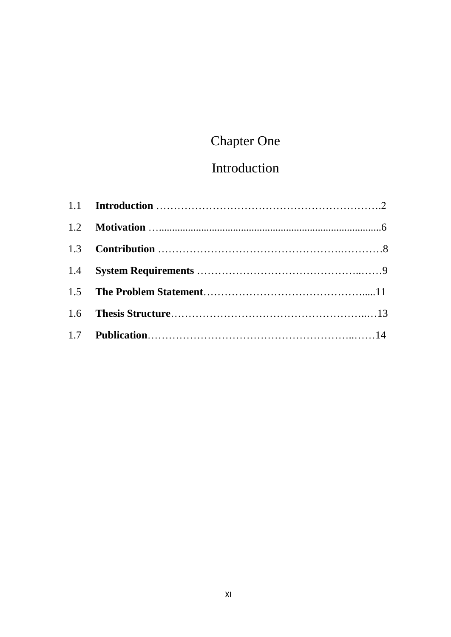# Chapter One

# Introduction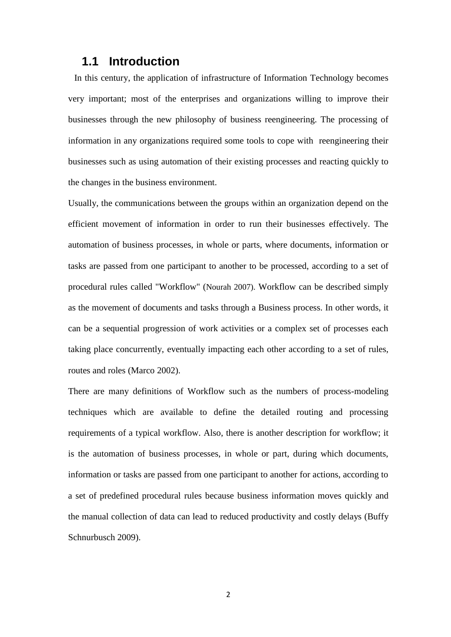### **1.1 Introduction**

 In this century, the application of infrastructure of Information Technology becomes very important; most of the enterprises and organizations willing to improve their businesses through the new philosophy of business reengineering. The processing of information in any organizations required some tools to cope with reengineering their businesses such as using automation of their existing processes and reacting quickly to the changes in the business environment.

Usually, the communications between the groups within an organization depend on the efficient movement of information in order to run their businesses effectively. The automation of business processes, in whole or parts, where documents, information or tasks are passed from one participant to another to be processed, according to a set of procedural rules called "Workflow" (Nourah 2007). Workflow can be described simply as the movement of documents and tasks through a Business process. In other words, it can be a sequential progression of work activities or a complex set of processes each taking place concurrently, eventually impacting each other according to a set of rules, routes and roles (Marco 2002).

There are many definitions of Workflow such as the numbers of process-modeling techniques which are available to define the detailed routing and processing requirements of a typical workflow. Also, there is another description for workflow; it is the automation of business processes, in whole or part, during which documents, information or tasks are passed from one participant to another for actions, according to a set of predefined procedural rules because business information moves quickly and the manual collection of data can lead to reduced productivity and costly delays (Buffy Schnurbusch 2009).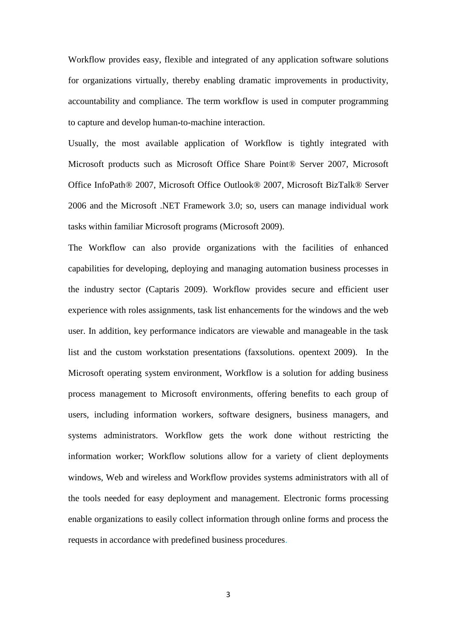Workflow provides easy, flexible and integrated of any application software solutions for organizations virtually, thereby enabling dramatic improvements in productivity, accountability and compliance. The term workflow is used in computer programming to capture and develop human-to-machine interaction.

Usually, the most available application of Workflow is tightly integrated with Microsoft products such as Microsoft Office Share Point® Server 2007, Microsoft Office InfoPath® 2007, Microsoft Office Outlook® 2007, Microsoft BizTalk® Server 2006 and the Microsoft .NET Framework 3.0; so, users can manage individual work tasks within familiar Microsoft programs (Microsoft 2009).

The Workflow can also provide organizations with the facilities of enhanced capabilities for developing, deploying and managing automation business processes in the industry sector (Captaris 2009). Workflow provides secure and efficient user experience with roles assignments, task list enhancements for the windows and the web user. In addition, key performance indicators are viewable and manageable in the task list and the custom workstation presentations (faxsolutions. opentext 2009). In the Microsoft operating system environment, Workflow is a solution for adding business process management to Microsoft environments, offering benefits to each group of users, including information workers, software designers, business managers, and systems administrators. Workflow gets the work done without restricting the information worker; Workflow solutions allow for a variety of client deployments windows, Web and wireless and Workflow provides systems administrators with all of the tools needed for easy deployment and management. Electronic forms processing enable organizations to easily collect information through online forms and process the requests in accordance with predefined business procedures.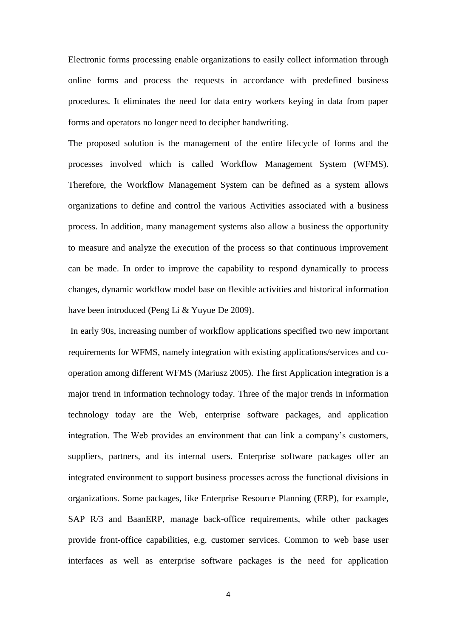Electronic forms processing enable organizations to easily collect information through online forms and process the requests in accordance with predefined business procedures. It eliminates the need for data entry workers keying in data from paper forms and operators no longer need to decipher handwriting.

The proposed solution is the management of the entire lifecycle of forms and the processes involved which is called Workflow Management System (WFMS). Therefore, the Workflow Management System can be defined as a system allows organizations to define and control the various Activities associated with a business process. In addition, many management systems also allow a business the opportunity to measure and analyze the execution of the process so that continuous improvement can be made. In order to improve the capability to respond dynamically to process changes, dynamic workflow model base on flexible activities and historical information have been introduced (Peng Li & Yuyue De 2009).

In early 90s, increasing number of workflow applications specified two new important requirements for WFMS, namely integration with existing applications/services and cooperation among different WFMS (Mariusz 2005). The first Application integration is a major trend in information technology today. Three of the major trends in information technology today are the Web, enterprise software packages, and application integration. The Web provides an environment that can link a company's customers, suppliers, partners, and its internal users. Enterprise software packages offer an integrated environment to support business processes across the functional divisions in organizations. Some packages, like Enterprise Resource Planning (ERP), for example, SAP R/3 and BaanERP, manage back-office requirements, while other packages provide front-office capabilities, e.g. customer services. Common to web base user interfaces as well as enterprise software packages is the need for application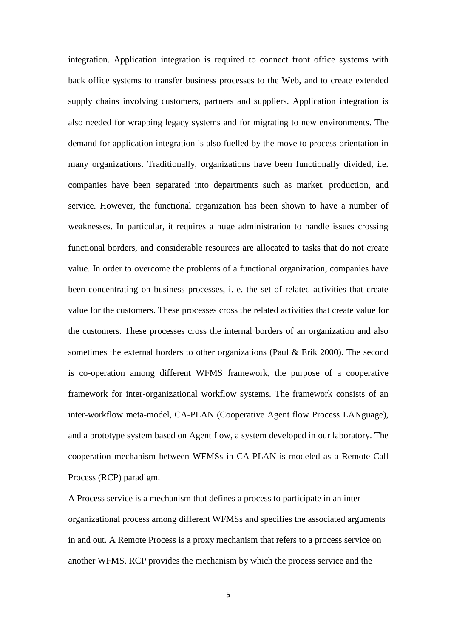integration. Application integration is required to connect front office systems with back office systems to transfer business processes to the Web, and to create extended supply chains involving customers, partners and suppliers. Application integration is also needed for wrapping legacy systems and for migrating to new environments. The demand for application integration is also fuelled by the move to process orientation in many organizations. Traditionally, organizations have been functionally divided, i.e. companies have been separated into departments such as market, production, and service. However, the functional organization has been shown to have a number of weaknesses. In particular, it requires a huge administration to handle issues crossing functional borders, and considerable resources are allocated to tasks that do not create value. In order to overcome the problems of a functional organization, companies have been concentrating on business processes, i. e. the set of related activities that create value for the customers. These processes cross the related activities that create value for the customers. These processes cross the internal borders of an organization and also sometimes the external borders to other organizations (Paul & Erik 2000). The second is co-operation among different WFMS framework, the purpose of a cooperative framework for inter-organizational workflow systems. The framework consists of an inter-workflow meta-model, CA-PLAN (Cooperative Agent flow Process LANguage), and a prototype system based on Agent flow, a system developed in our laboratory. The cooperation mechanism between WFMSs in CA-PLAN is modeled as a Remote Call Process (RCP) paradigm.

A Process service is a mechanism that defines a process to participate in an interorganizational process among different WFMSs and specifies the associated arguments in and out. A Remote Process is a proxy mechanism that refers to a process service on another WFMS. RCP provides the mechanism by which the process service and the

5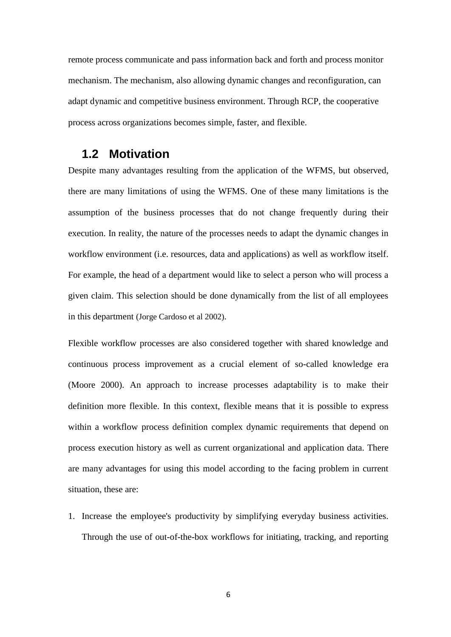remote process communicate and pass information back and forth and process monitor mechanism. The mechanism, also allowing dynamic changes and reconfiguration, can adapt dynamic and competitive business environment. Through RCP, the cooperative process across organizations becomes simple, faster, and flexible.

### **1.2 Motivation**

Despite many advantages resulting from the application of the WFMS, but observed, there are many limitations of using the WFMS. One of these many limitations is the assumption of the business processes that do not change frequently during their execution. In reality, the nature of the processes needs to adapt the dynamic changes in workflow environment (i.e. resources, data and applications) as well as workflow itself. For example, the head of a department would like to select a person who will process a given claim. This selection should be done dynamically from the list of all employees in this department (Jorge Cardoso et al 2002).

Flexible workflow processes are also considered together with shared knowledge and continuous process improvement as a crucial element of so-called knowledge era (Moore 2000). An approach to increase processes adaptability is to make their definition more flexible. In this context, flexible means that it is possible to express within a workflow process definition complex dynamic requirements that depend on process execution history as well as current organizational and application data. There are many advantages for using this model according to the facing problem in current situation, these are:

1. Increase the employee's productivity by simplifying everyday business activities. Through the use of out-of-the-box workflows for initiating, tracking, and reporting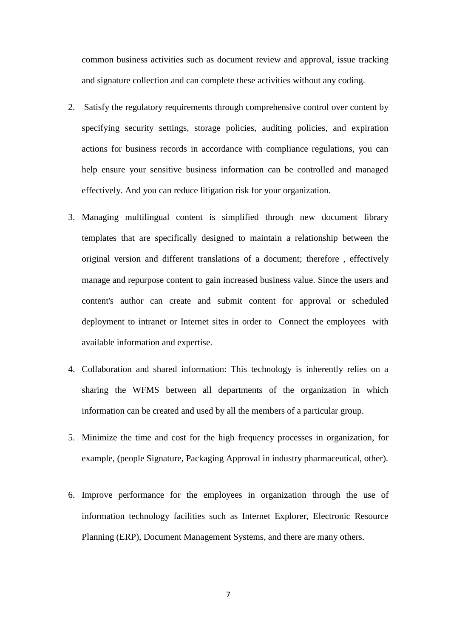common business activities such as document review and approval, issue tracking and signature collection and can complete these activities without any coding.

- 2. Satisfy the regulatory requirements through comprehensive control over content by specifying security settings, storage policies, auditing policies, and expiration actions for business records in accordance with compliance regulations, you can help ensure your sensitive business information can be controlled and managed effectively. And you can reduce litigation risk for your organization.
- 3. Managing multilingual content is simplified through new document library templates that are specifically designed to maintain a relationship between the original version and different translations of a document; therefore , effectively manage and repurpose content to gain increased business value. Since the users and content's author can create and submit content for approval or scheduled deployment to intranet or Internet sites in order to Connect the employees with available information and expertise.
- 4. Collaboration and shared information: This technology is inherently relies on a sharing the WFMS between all departments of the organization in which information can be created and used by all the members of a particular group.
- 5. Minimize the time and cost for the high frequency processes in organization, for example, (people Signature, Packaging Approval in industry pharmaceutical, other).
- 6. Improve performance for the employees in organization through the use of information technology facilities such as Internet Explorer, Electronic Resource Planning (ERP), Document Management Systems, and there are many others.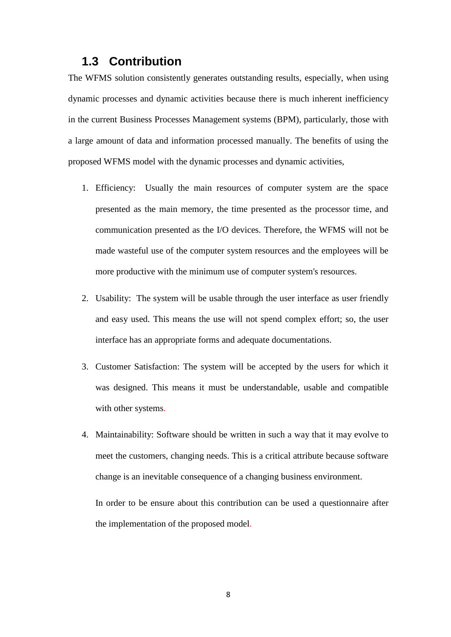### **1.3 Contribution**

The WFMS solution consistently generates outstanding results, especially, when using dynamic processes and dynamic activities because there is much inherent inefficiency in the current Business Processes Management systems (BPM), particularly, those with a large amount of data and information processed manually. The benefits of using the proposed WFMS model with the dynamic processes and dynamic activities,

- 1. Efficiency: Usually the main resources of computer system are the space presented as the main memory, the time presented as the processor time, and communication presented as the I/O devices. Therefore, the WFMS will not be made wasteful use of the computer system resources and the employees will be more productive with the minimum use of computer system's resources.
- 2. Usability: The system will be usable through the user interface as user friendly and easy used. This means the use will not spend complex effort; so, the user interface has an appropriate forms and adequate documentations.
- 3. Customer Satisfaction: The system will be accepted by the users for which it was designed. This means it must be understandable, usable and compatible with other systems.
- 4. Maintainability: Software should be written in such a way that it may evolve to meet the customers, changing needs. This is a critical attribute because software change is an inevitable consequence of a changing business environment.

In order to be ensure about this contribution can be used a questionnaire after the implementation of the proposed model.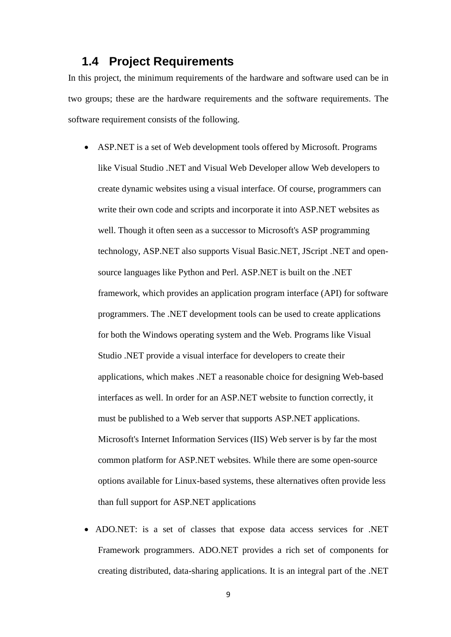### **1.4 Project Requirements**

In this project, the minimum requirements of the hardware and software used can be in two groups; these are the hardware requirements and the software requirements. The software requirement consists of the following.

- ASP.NET is a set of Web development tools offered by Microsoft. Programs like Visual Studio [.NET](http://www.fileinfo.com/extension/net) and Visual Web Developer allow Web developers to create dynamic websites using a visual interface. Of course, programmers can write their own code and [scripts](http://www.techterms.com/definition/script) and incorporate it into ASP.NET websites as well. Though it often seen as a successor to Microsoft's [ASP](http://www.techterms.com/definition/asp) programming technology, ASP.NET also supports Visual Basic.NET, JScript [.NET](http://www.fileinfo.com/extension/net) and opensource languages like Python and Perl. ASP.NET is built on the [.NET](http://www.fileinfo.com/extension/net) framework, which provides an application program interface [\(API\)](http://www.techterms.com/definition/api) for software programmers. The [.NET](http://www.fileinfo.com/extension/net) development tools can be used to create applications for both the Windows operating system and the Web. Programs like Visual Studio [.NET](http://www.fileinfo.com/extension/net) provide a visual interface for developers to create their applications, which makes [.NET](http://www.fileinfo.com/extension/net) a reasonable choice for designing Web-based interfaces as well. In order for an ASP.NET website to function correctly, it must be published to a Web server that supports ASP.NET applications. Microsoft's Internet Information Services (IIS) Web server is by far the most common platform for ASP.NET websites. While there are some open-source options available for Linux-based systems, these alternatives often provide less than full support for ASP.NET applications
- ADO.NET: is a set of classes that expose data access services for .NET Framework programmers. ADO.NET provides a rich set of components for creating distributed, data-sharing applications. It is an integral part of the .NET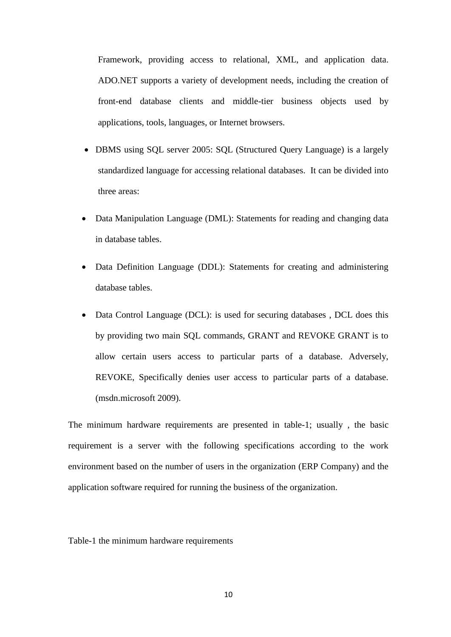Framework, providing access to relational, XML, and application data. ADO.NET supports a variety of development needs, including the creation of front-end database clients and middle-tier business objects used by applications, tools, languages, or Internet browsers.

- DBMS using SQL server 2005: SQL (Structured Query Language) is a largely standardized language for accessing relational databases. It can be divided into three areas:
- Data Manipulation Language (DML): Statements for reading and changing data in database tables.
- Data Definition Language (DDL): Statements for creating and administering database tables.
- Data Control Language (DCL): is used for securing databases , DCL does this by providing two main SQL commands, GRANT and REVOKE GRANT is to allow certain users access to particular parts of a database. Adversely, REVOKE, Specifically denies user access to particular parts of a database. (msdn.microsoft 2009).

The minimum hardware requirements are presented in table-1; usually , the basic requirement is a server with the following specifications according to the work environment based on the number of users in the organization (ERP Company) and the application software required for running the business of the organization.

Table-1 the minimum hardware requirements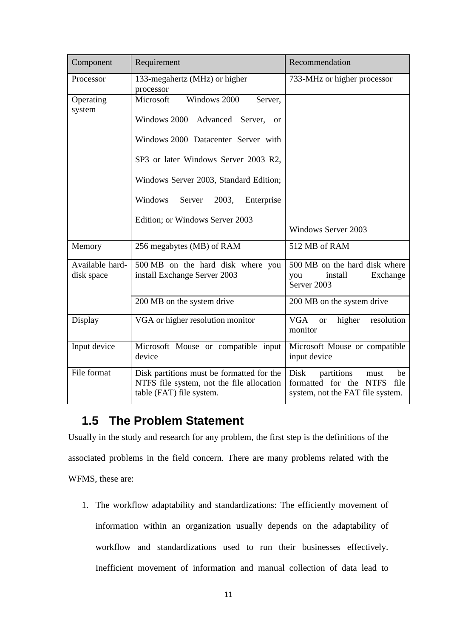| Component                     | Requirement                                                                                                        | Recommendation                                                                                                   |  |
|-------------------------------|--------------------------------------------------------------------------------------------------------------------|------------------------------------------------------------------------------------------------------------------|--|
| Processor                     | 133-megahertz (MHz) or higher<br>processor                                                                         | 733-MHz or higher processor                                                                                      |  |
| Operating<br>system           | Windows 2000<br>Microsoft<br>Server,<br>Windows 2000 Advanced Server,<br>or                                        |                                                                                                                  |  |
|                               | Windows 2000 Datacenter Server with                                                                                |                                                                                                                  |  |
|                               | SP3 or later Windows Server 2003 R2,                                                                               |                                                                                                                  |  |
|                               | Windows Server 2003, Standard Edition;                                                                             |                                                                                                                  |  |
|                               | Windows<br>Server<br>2003,<br>Enterprise                                                                           |                                                                                                                  |  |
|                               | Edition; or Windows Server 2003                                                                                    | <b>Windows Server 2003</b>                                                                                       |  |
| Memory                        | 256 megabytes (MB) of RAM                                                                                          | 512 MB of RAM                                                                                                    |  |
| Available hard-<br>disk space | 500 MB on the hard disk where you<br>install Exchange Server 2003                                                  | 500 MB on the hard disk where<br>install<br>Exchange<br>you<br>Server <sub>2003</sub>                            |  |
|                               | 200 MB on the system drive                                                                                         | 200 MB on the system drive                                                                                       |  |
| Display                       | VGA or higher resolution monitor                                                                                   | <b>VGA</b><br>higher<br>resolution<br><b>or</b><br>monitor                                                       |  |
| Input device                  | Microsoft Mouse or compatible input<br>device                                                                      | Microsoft Mouse or compatible<br>input device                                                                    |  |
| File format                   | Disk partitions must be formatted for the<br>NTFS file system, not the file allocation<br>table (FAT) file system. | Disk<br>partitions<br>be<br>must<br>formatted for the<br><b>NTFS</b><br>file<br>system, not the FAT file system. |  |

### **1.5 The Problem Statement**

Usually in the study and research for any problem, the first step is the definitions of the associated problems in the field concern. There are many problems related with the WFMS, these are:

1. The workflow adaptability and standardizations: The efficiently movement of information within an organization usually depends on the adaptability of workflow and standardizations used to run their businesses effectively. Inefficient movement of information and manual collection of data lead to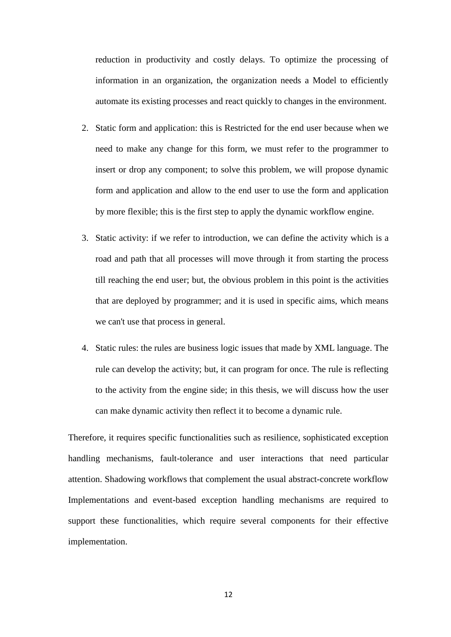reduction in productivity and costly delays. To optimize the processing of information in an organization, the organization needs a Model to efficiently automate its existing processes and react quickly to changes in the environment.

- 2. Static form and application: this is Restricted for the end user because when we need to make any change for this form, we must refer to the programmer to insert or drop any component; to solve this problem, we will propose dynamic form and application and allow to the end user to use the form and application by more flexible; this is the first step to apply the dynamic workflow engine.
- 3. Static activity: if we refer to introduction, we can define the activity which is a road and path that all processes will move through it from starting the process till reaching the end user; but, the obvious problem in this point is the activities that are deployed by programmer; and it is used in specific aims, which means we can't use that process in general.
- 4. Static rules: the rules are business logic issues that made by XML language. The rule can develop the activity; but, it can program for once. The rule is reflecting to the activity from the engine side; in this thesis, we will discuss how the user can make dynamic activity then reflect it to become a dynamic rule.

Therefore, it requires specific functionalities such as resilience, sophisticated exception handling mechanisms, fault-tolerance and user interactions that need particular attention. Shadowing workflows that complement the usual abstract-concrete workflow Implementations and event-based exception handling mechanisms are required to support these functionalities, which require several components for their effective implementation.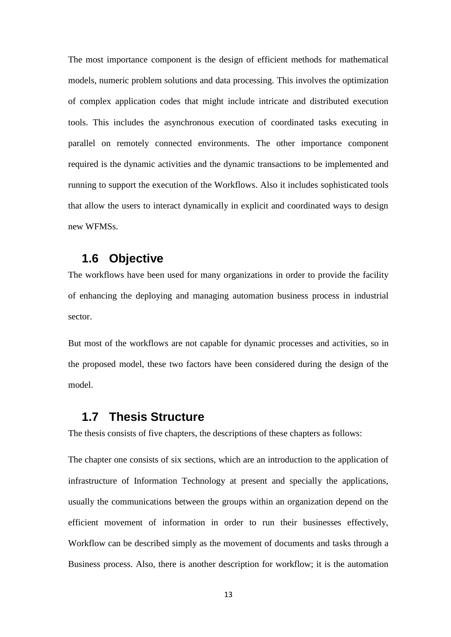The most importance component is the design of efficient methods for mathematical models, numeric problem solutions and data processing. This involves the optimization of complex application codes that might include intricate and distributed execution tools. This includes the asynchronous execution of coordinated tasks executing in parallel on remotely connected environments. The other importance component required is the dynamic activities and the dynamic transactions to be implemented and running to support the execution of the Workflows. Also it includes sophisticated tools that allow the users to interact dynamically in explicit and coordinated ways to design new WFMSs.

### **1.6 Objective**

The workflows have been used for many organizations in order to provide the facility of enhancing the deploying and managing automation business process in industrial sector.

But most of the workflows are not capable for dynamic processes and activities, so in the proposed model, these two factors have been considered during the design of the model.

### **1.7 Thesis Structure**

The thesis consists of five chapters, the descriptions of these chapters as follows:

The chapter one consists of six sections, which are an introduction to the application of infrastructure of Information Technology at present and specially the applications, usually the communications between the groups within an organization depend on the efficient movement of information in order to run their businesses effectively, Workflow can be described simply as the movement of documents and tasks through a Business process. Also, there is another description for workflow; it is the automation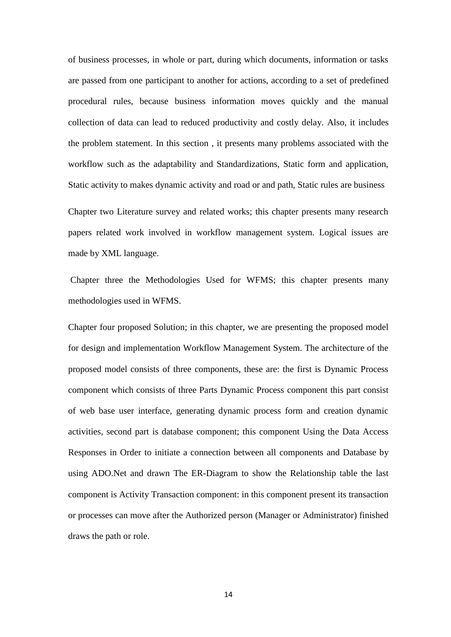of business processes, in whole or part, during which documents, information or tasks are passed from one participant to another for actions, according to a set of predefined procedural rules, because business information moves quickly and the manual collection of data can lead to reduced productivity and costly delay. Also, it includes the problem statement. In this section , it presents many problems associated with the workflow such as the adaptability and Standardizations, Static form and application, Static activity to makes dynamic activity and road or and path, Static rules are business

Chapter two Literature survey and related works; this chapter presents many research papers related work involved in workflow management system. Logical issues are made by XML language.

Chapter three the Methodologies Used for WFMS; this chapter presents many methodologies used in WFMS.

Chapter four proposed Solution; in this chapter, we are presenting the proposed model for design and implementation Workflow Management System. The architecture of the proposed model consists of three components, these are: the first is Dynamic Process component which consists of three Parts Dynamic Process component this part consist of web base user interface, generating dynamic process form and creation dynamic activities, second part is database component; this component Using the Data Access Responses in Order to initiate a connection between all components and Database by using ADO.Net and drawn The ER-Diagram to show the Relationship table the last component is Activity Transaction component: in this component present its transaction or processes can move after the Authorized person (Manager or Administrator) finished draws the path or role.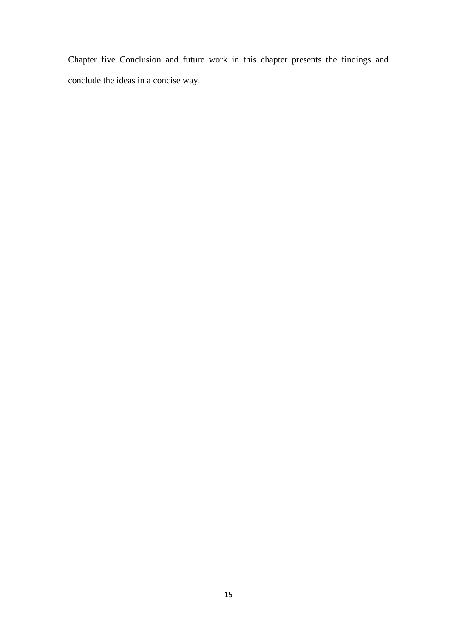Chapter five Conclusion and future work in this chapter presents the findings and conclude the ideas in a concise way.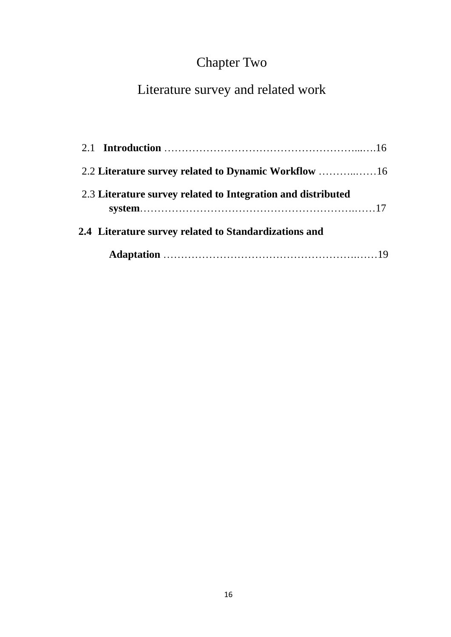# Chapter Two

# Literature survey and related work

| 2.3 Literature survey related to Integration and distributed |  |
|--------------------------------------------------------------|--|
| 2.4 Literature survey related to Standardizations and        |  |
|                                                              |  |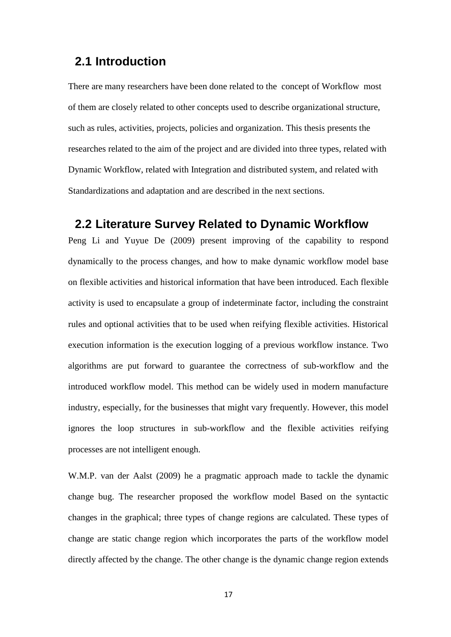### **2.1 Introduction**

There are many researchers have been done related to the concept of Workflow most of them are closely related to other concepts used to describe organizational structure, such as rules, activities, projects, policies and organization. This thesis presents the researches related to the aim of the project and are divided into three types, related with Dynamic Workflow, related with Integration and distributed system, and related with Standardizations and adaptation and are described in the next sections.

### **2.2 Literature Survey Related to Dynamic Workflow**

Peng Li and Yuyue De (2009) present improving of the capability to respond dynamically to the process changes, and how to make dynamic workflow model base on flexible activities and historical information that have been introduced. Each flexible activity is used to encapsulate a group of indeterminate factor, including the constraint rules and optional activities that to be used when reifying flexible activities. Historical execution information is the execution logging of a previous workflow instance. Two algorithms are put forward to guarantee the correctness of sub-workflow and the introduced workflow model. This method can be widely used in modern manufacture industry, especially, for the businesses that might vary frequently. However, this model ignores the loop structures in sub-workflow and the flexible activities reifying processes are not intelligent enough.

W.M.P. van der Aalst (2009) he a pragmatic approach made to tackle the dynamic change bug. The researcher proposed the workflow model Based on the syntactic changes in the graphical; three types of change regions are calculated. These types of change are static change region which incorporates the parts of the workflow model directly affected by the change. The other change is the dynamic change region extends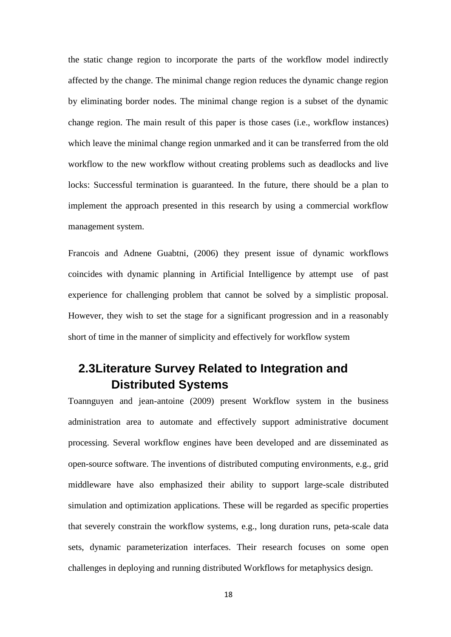the static change region to incorporate the parts of the workflow model indirectly affected by the change. The minimal change region reduces the dynamic change region by eliminating border nodes. The minimal change region is a subset of the dynamic change region. The main result of this paper is those cases (i.e., workflow instances) which leave the minimal change region unmarked and it can be transferred from the old workflow to the new workflow without creating problems such as deadlocks and live locks: Successful termination is guaranteed. In the future, there should be a plan to implement the approach presented in this research by using a commercial workflow management system.

Francois and Adnene Guabtni, (2006) they present issue of dynamic workflows coincides with dynamic planning in Artificial Intelligence by attempt use of past experience for challenging problem that cannot be solved by a simplistic proposal. However, they wish to set the stage for a significant progression and in a reasonably short of time in the manner of simplicity and effectively for workflow system

### **2.3Literature Survey Related to Integration and Distributed Systems**

Toannguyen and jean-antoine (2009) present Workflow system in the business administration area to automate and effectively support administrative document processing. Several workflow engines have been developed and are disseminated as open-source software. The inventions of distributed computing environments, e.g., grid middleware have also emphasized their ability to support large-scale distributed simulation and optimization applications. These will be regarded as specific properties that severely constrain the workflow systems, e.g., long duration runs, peta-scale data sets, dynamic parameterization interfaces. Their research focuses on some open challenges in deploying and running distributed Workflows for metaphysics design.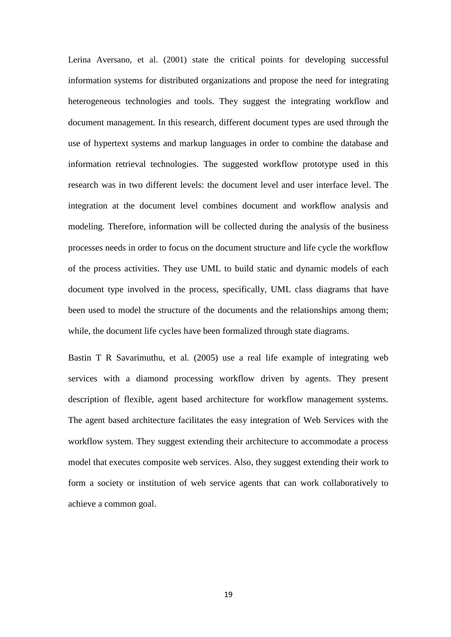Lerina Aversano, et al. (2001) state the critical points for developing successful information systems for distributed organizations and propose the need for integrating heterogeneous technologies and tools. They suggest the integrating workflow and document management. In this research, different document types are used through the use of hypertext systems and markup languages in order to combine the database and information retrieval technologies. The suggested workflow prototype used in this research was in two different levels: the document level and user interface level. The integration at the document level combines document and workflow analysis and modeling. Therefore, information will be collected during the analysis of the business processes needs in order to focus on the document structure and life cycle the workflow of the process activities. They use UML to build static and dynamic models of each document type involved in the process, specifically, UML class diagrams that have been used to model the structure of the documents and the relationships among them; while, the document life cycles have been formalized through state diagrams.

Bastin T R Savarimuthu, et al. (2005) use a real life example of integrating web services with a diamond processing workflow driven by agents. They present description of flexible, agent based architecture for workflow management systems. The agent based architecture facilitates the easy integration of Web Services with the workflow system. They suggest extending their architecture to accommodate a process model that executes composite web services. Also, they suggest extending their work to form a society or institution of web service agents that can work collaboratively to achieve a common goal.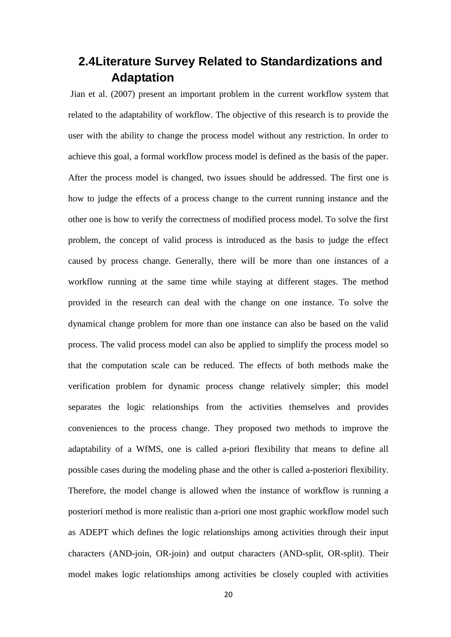### **2.4Literature Survey Related to Standardizations and Adaptation**

Jian et al. (2007) present an important problem in the current workflow system that related to the adaptability of workflow. The objective of this research is to provide the user with the ability to change the process model without any restriction. In order to achieve this goal, a formal workflow process model is defined as the basis of the paper. After the process model is changed, two issues should be addressed. The first one is how to judge the effects of a process change to the current running instance and the other one is how to verify the correctness of modified process model. To solve the first problem, the concept of valid process is introduced as the basis to judge the effect caused by process change. Generally, there will be more than one instances of a workflow running at the same time while staying at different stages. The method provided in the research can deal with the change on one instance. To solve the dynamical change problem for more than one instance can also be based on the valid process. The valid process model can also be applied to simplify the process model so that the computation scale can be reduced. The effects of both methods make the verification problem for dynamic process change relatively simpler; this model separates the logic relationships from the activities themselves and provides conveniences to the process change. They proposed two methods to improve the adaptability of a WfMS, one is called a-priori flexibility that means to define all possible cases during the modeling phase and the other is called a-posteriori flexibility. Therefore, the model change is allowed when the instance of workflow is running a posteriori method is more realistic than a-priori one most graphic workflow model such as ADEPT which defines the logic relationships among activities through their input characters (AND-join, OR-join) and output characters (AND-split, OR-split). Their model makes logic relationships among activities be closely coupled with activities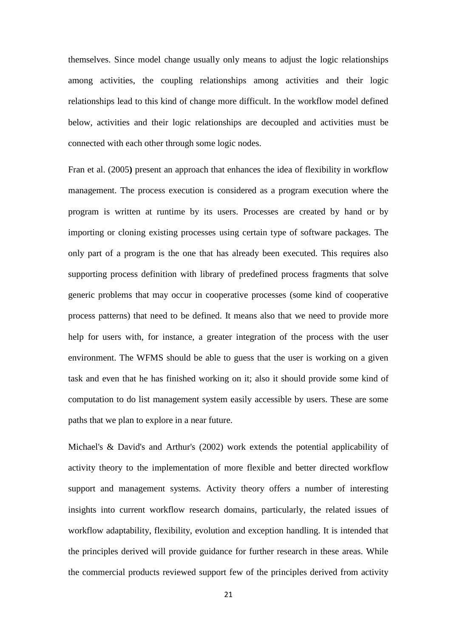themselves. Since model change usually only means to adjust the logic relationships among activities, the coupling relationships among activities and their logic relationships lead to this kind of change more difficult. In the workflow model defined below, activities and their logic relationships are decoupled and activities must be connected with each other through some logic nodes.

Fran et al. (2005**)** present an approach that enhances the idea of flexibility in workflow management. The process execution is considered as a program execution where the program is written at runtime by its users. Processes are created by hand or by importing or cloning existing processes using certain type of software packages. The only part of a program is the one that has already been executed. This requires also supporting process definition with library of predefined process fragments that solve generic problems that may occur in cooperative processes (some kind of cooperative process patterns) that need to be defined. It means also that we need to provide more help for users with, for instance, a greater integration of the process with the user environment. The WFMS should be able to guess that the user is working on a given task and even that he has finished working on it; also it should provide some kind of computation to do list management system easily accessible by users. These are some paths that we plan to explore in a near future.

Michael's & David's and Arthur's (2002) work extends the potential applicability of activity theory to the implementation of more flexible and better directed workflow support and management systems. Activity theory offers a number of interesting insights into current workflow research domains, particularly, the related issues of workflow adaptability, flexibility, evolution and exception handling. It is intended that the principles derived will provide guidance for further research in these areas. While the commercial products reviewed support few of the principles derived from activity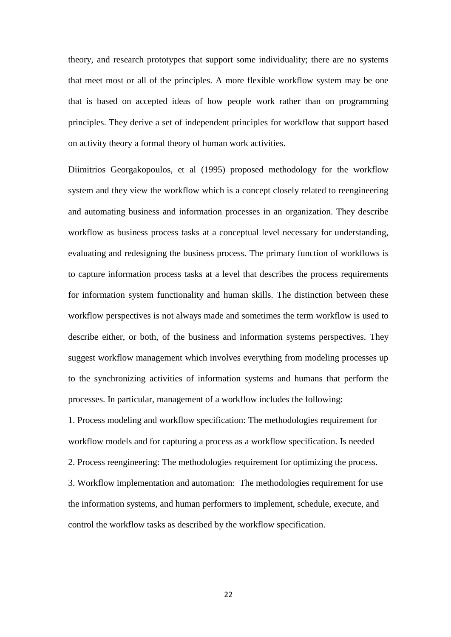theory, and research prototypes that support some individuality; there are no systems that meet most or all of the principles. A more flexible workflow system may be one that is based on accepted ideas of how people work rather than on programming principles. They derive a set of independent principles for workflow that support based on activity theory a formal theory of human work activities.

Diimitrios Georgakopoulos, et al (1995) proposed methodology for the workflow system and they view the workflow which is a concept closely related to reengineering and automating business and information processes in an organization. They describe workflow as business process tasks at a conceptual level necessary for understanding, evaluating and redesigning the business process. The primary function of workflows is to capture information process tasks at a level that describes the process requirements for information system functionality and human skills. The distinction between these workflow perspectives is not always made and sometimes the term workflow is used to describe either, or both, of the business and information systems perspectives. They suggest workflow management which involves everything from modeling processes up to the synchronizing activities of information systems and humans that perform the processes. In particular, management of a workflow includes the following:

1. Process modeling and workflow specification: The methodologies requirement for workflow models and for capturing a process as a workflow specification. Is needed 2. Process reengineering: The methodologies requirement for optimizing the process. 3. Workflow implementation and automation: The methodologies requirement for use the information systems, and human performers to implement, schedule, execute, and control the workflow tasks as described by the workflow specification.

22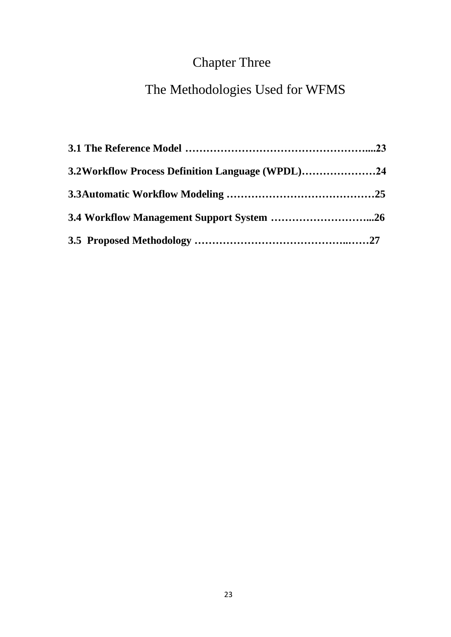# Chapter Three

# The Methodologies Used for WFMS

| 3.2Workflow Process Definition Language (WPDL)24 |  |
|--------------------------------------------------|--|
|                                                  |  |
|                                                  |  |
|                                                  |  |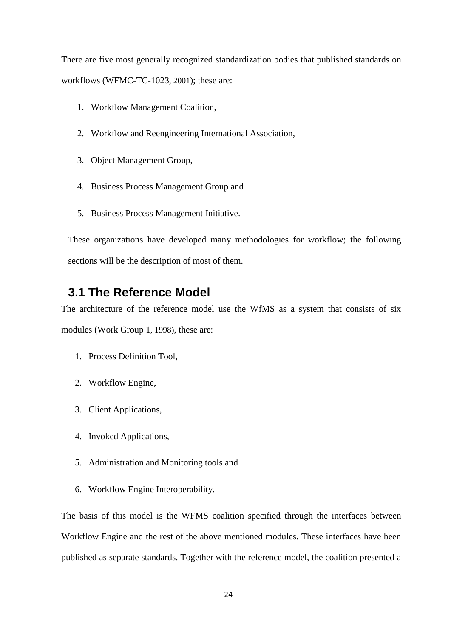There are five most generally recognized standardization bodies that published standards on workflows (WFMC-TC-1023, 2001); these are:

- 1. Workflow Management Coalition,
- 2. Workflow and Reengineering International Association,
- 3. Object Management Group,
- 4. Business Process Management Group and
- 5. Business Process Management Initiative.

These organizations have developed many methodologies for workflow; the following sections will be the description of most of them.

### **3.1 The Reference Model**

The architecture of the reference model use the WfMS as a system that consists of six modules (Work Group 1, 1998), these are:

- 1. Process Definition Tool,
- 2. Workflow Engine,
- 3. Client Applications,
- 4. Invoked Applications,
- 5. Administration and Monitoring tools and
- 6. Workflow Engine Interoperability.

The basis of this model is the WFMS coalition specified through the interfaces between Workflow Engine and the rest of the above mentioned modules. These interfaces have been published as separate standards. Together with the reference model, the coalition presented a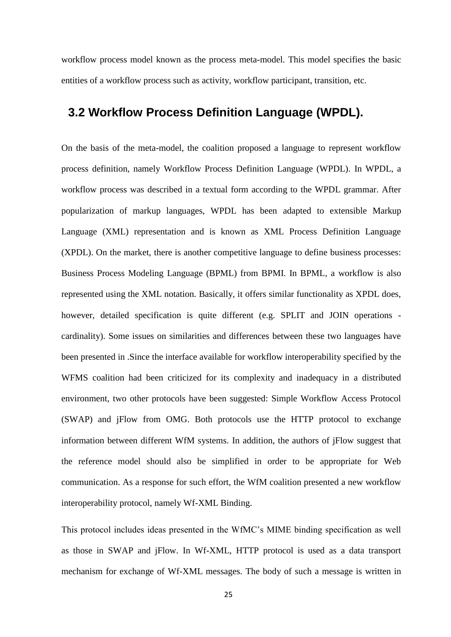workflow process model known as the process meta-model. This model specifies the basic entities of a workflow process such as activity, workflow participant, transition, etc.

### **3.2 Workflow Process Definition Language (WPDL).**

On the basis of the meta-model, the coalition proposed a language to represent workflow process definition, namely Workflow Process Definition Language (WPDL). In WPDL, a workflow process was described in a textual form according to the WPDL grammar. After popularization of markup languages, WPDL has been adapted to extensible Markup Language (XML) representation and is known as XML Process Definition Language (XPDL). On the market, there is another competitive language to define business processes: Business Process Modeling Language (BPML) from BPMI. In BPML, a workflow is also represented using the XML notation. Basically, it offers similar functionality as XPDL does, however, detailed specification is quite different (e.g. SPLIT and JOIN operations cardinality). Some issues on similarities and differences between these two languages have been presented in .Since the interface available for workflow interoperability specified by the WFMS coalition had been criticized for its complexity and inadequacy in a distributed environment, two other protocols have been suggested: Simple Workflow Access Protocol (SWAP) and jFlow from OMG. Both protocols use the HTTP protocol to exchange information between different WfM systems. In addition, the authors of jFlow suggest that the reference model should also be simplified in order to be appropriate for Web communication. As a response for such effort, the WfM coalition presented a new workflow interoperability protocol, namely Wf-XML Binding.

This protocol includes ideas presented in the WfMC's MIME binding specification as well as those in SWAP and jFlow. In Wf-XML, HTTP protocol is used as a data transport mechanism for exchange of Wf-XML messages. The body of such a message is written in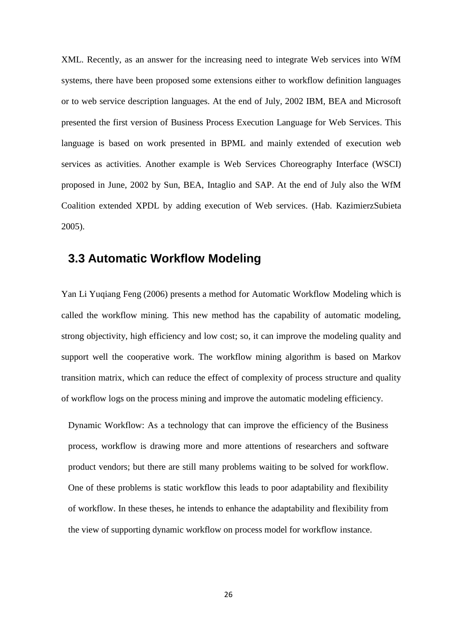XML. Recently, as an answer for the increasing need to integrate Web services into WfM systems, there have been proposed some extensions either to workflow definition languages or to web service description languages. At the end of July, 2002 IBM, BEA and Microsoft presented the first version of Business Process Execution Language for Web Services. This language is based on work presented in BPML and mainly extended of execution web services as activities. Another example is Web Services Choreography Interface (WSCI) proposed in June, 2002 by Sun, BEA, Intaglio and SAP. At the end of July also the WfM Coalition extended XPDL by adding execution of Web services. (Hab. KazimierzSubieta 2005).

### **3.3 Automatic Workflow Modeling**

Yan Li Yuqiang Feng (2006) presents a method for Automatic Workflow Modeling which is called the workflow mining. This new method has the capability of automatic modeling, strong objectivity, high efficiency and low cost; so, it can improve the modeling quality and support well the cooperative work. The workflow mining algorithm is based on Markov transition matrix, which can reduce the effect of complexity of process structure and quality of workflow logs on the process mining and improve the automatic modeling efficiency.

Dynamic Workflow: As a technology that can improve the efficiency of the Business process, workflow is drawing more and more attentions of researchers and software product vendors; but there are still many problems waiting to be solved for workflow. One of these problems is static workflow this leads to poor adaptability and flexibility of workflow. In these theses, he intends to enhance the adaptability and flexibility from the view of supporting dynamic workflow on process model for workflow instance.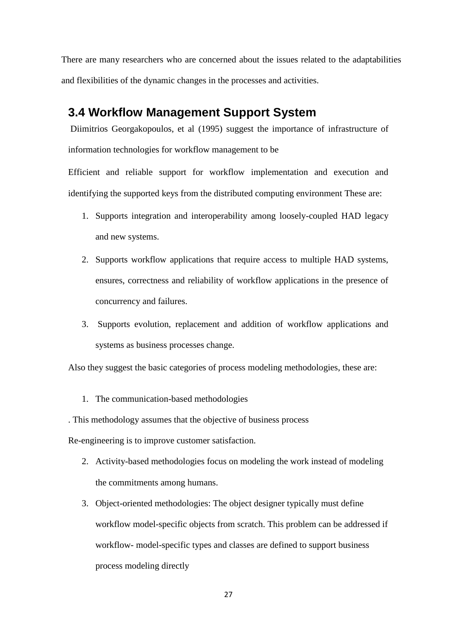There are many researchers who are concerned about the issues related to the adaptabilities and flexibilities of the dynamic changes in the processes and activities.

### **3.4 Workflow Management Support System**

Diimitrios Georgakopoulos, et al (1995) suggest the importance of infrastructure of information technologies for workflow management to be

Efficient and reliable support for workflow implementation and execution and identifying the supported keys from the distributed computing environment These are:

- 1. Supports integration and interoperability among loosely-coupled HAD legacy and new systems.
- 2. Supports workflow applications that require access to multiple HAD systems, ensures, correctness and reliability of workflow applications in the presence of concurrency and failures.
- 3. Supports evolution, replacement and addition of workflow applications and systems as business processes change.

Also they suggest the basic categories of process modeling methodologies, these are:

1. The communication-based methodologies

. This methodology assumes that the objective of business process

Re-engineering is to improve customer satisfaction.

- 2. Activity-based methodologies focus on modeling the work instead of modeling the commitments among humans.
- 3. Object-oriented methodologies: The object designer typically must define workflow model-specific objects from scratch. This problem can be addressed if workflow- model-specific types and classes are defined to support business process modeling directly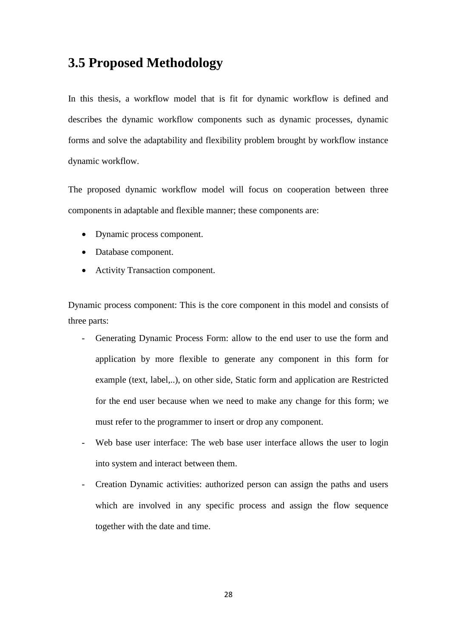### **3.5 Proposed Methodology**

In this thesis, a workflow model that is fit for dynamic workflow is defined and describes the dynamic workflow components such as dynamic processes, dynamic forms and solve the adaptability and flexibility problem brought by workflow instance dynamic workflow.

The proposed dynamic workflow model will focus on cooperation between three components in adaptable and flexible manner; these components are:

- Dynamic process component.
- Database component.
- Activity Transaction component.

Dynamic process component: This is the core component in this model and consists of three parts:

- Generating Dynamic Process Form: allow to the end user to use the form and application by more flexible to generate any component in this form for example (text, label,..), on other side, Static form and application are Restricted for the end user because when we need to make any change for this form; we must refer to the programmer to insert or drop any component.
- Web base user interface: The web base user interface allows the user to login into system and interact between them.
- Creation Dynamic activities: authorized person can assign the paths and users which are involved in any specific process and assign the flow sequence together with the date and time.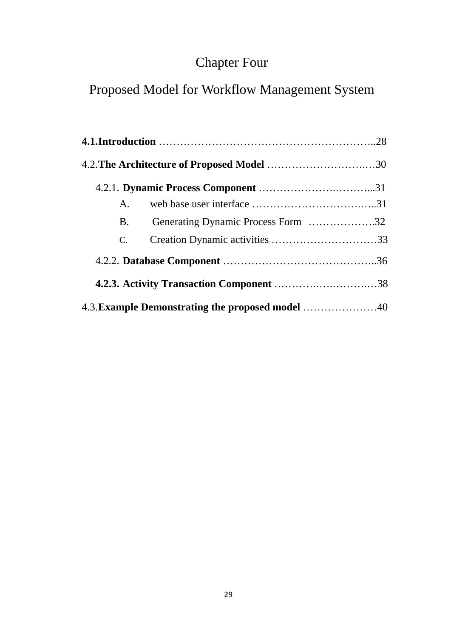# Chapter Four

# Proposed Model for Workflow Management System

|  | A.                                               |  |
|--|--------------------------------------------------|--|
|  | Generating Dynamic Process Form 32<br><b>B.</b>  |  |
|  | C.                                               |  |
|  |                                                  |  |
|  | <b>4.2.3. Activity Transaction Component 38</b>  |  |
|  | 4.3. Example Demonstrating the proposed model 40 |  |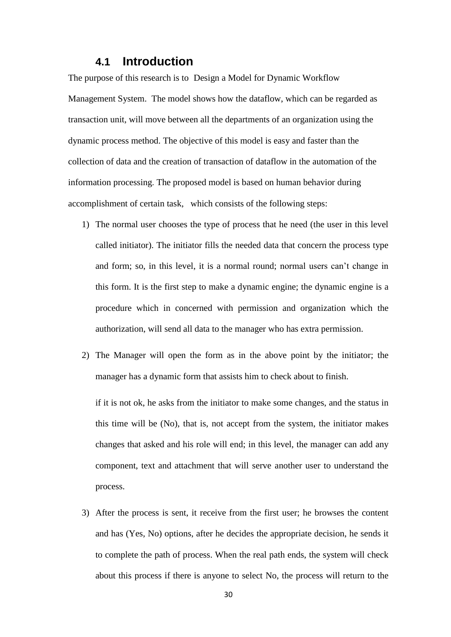#### **4.1 Introduction**

The purpose of this research is to Design a Model for Dynamic Workflow Management System. The model shows how the dataflow, which can be regarded as transaction unit, will move between all the departments of an organization using the dynamic process method. The objective of this model is easy and faster than the collection of data and the creation of transaction of dataflow in the automation of the information processing. The proposed model is based on human behavior during accomplishment of certain task, which consists of the following steps:

- 1) The normal user chooses the type of process that he need (the user in this level called initiator). The initiator fills the needed data that concern the process type and form; so, in this level, it is a normal round; normal users can't change in this form. It is the first step to make a dynamic engine; the dynamic engine is a procedure which in concerned with permission and organization which the authorization, will send all data to the manager who has extra permission.
- 2) The Manager will open the form as in the above point by the initiator; the manager has a dynamic form that assists him to check about to finish.

if it is not ok, he asks from the initiator to make some changes, and the status in this time will be (No), that is, not accept from the system, the initiator makes changes that asked and his role will end; in this level, the manager can add any component, text and attachment that will serve another user to understand the process.

3) After the process is sent, it receive from the first user; he browses the content and has (Yes, No) options, after he decides the appropriate decision, he sends it to complete the path of process. When the real path ends, the system will check about this process if there is anyone to select No, the process will return to the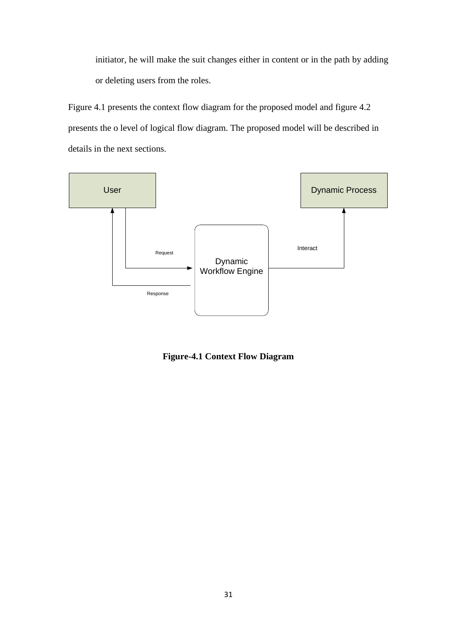initiator, he will make the suit changes either in content or in the path by adding or deleting users from the roles.

Figure 4.1 presents the context flow diagram for the proposed model and figure 4.2 presents the o level of logical flow diagram. The proposed model will be described in details in the next sections.



**Figure-4.1 Context Flow Diagram**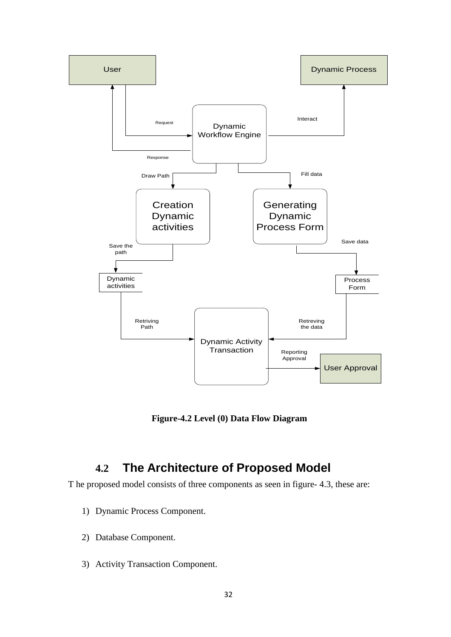

**Figure-4.2 Level (0) Data Flow Diagram**

### **4.2 The Architecture of Proposed Model**

T he proposed model consists of three components as seen in figure- 4.3, these are:

- 1) Dynamic Process Component.
- 2) Database Component.
- 3) Activity Transaction Component.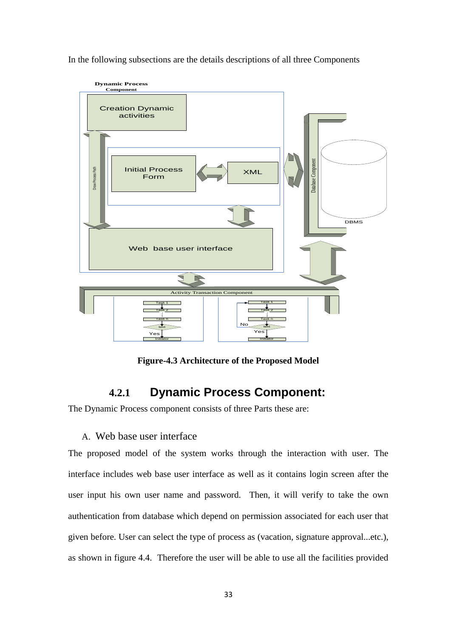In the following subsections are the details descriptions of all three Components



**Figure-4.3 Architecture of the Proposed Model**

### **4.2.1 Dynamic Process Component:**

The Dynamic Process component consists of three Parts these are:

#### A. Web base user interface

The proposed model of the system works through the interaction with user. The interface includes web base user interface as well as it contains login screen after the user input his own user name and password. Then, it will verify to take the own authentication from database which depend on permission associated for each user that given before. User can select the type of process as (vacation, signature approval...etc.), as shown in figure 4.4. Therefore the user will be able to use all the facilities provided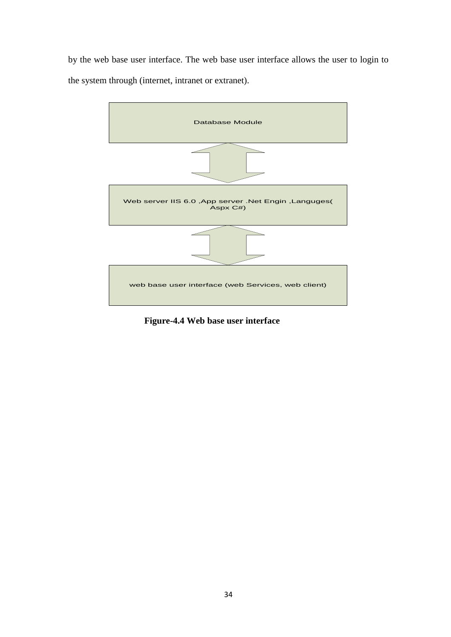by the web base user interface. The web base user interface allows the user to login to the system through (internet, intranet or extranet).



 **Figure-4.4 Web base user interface**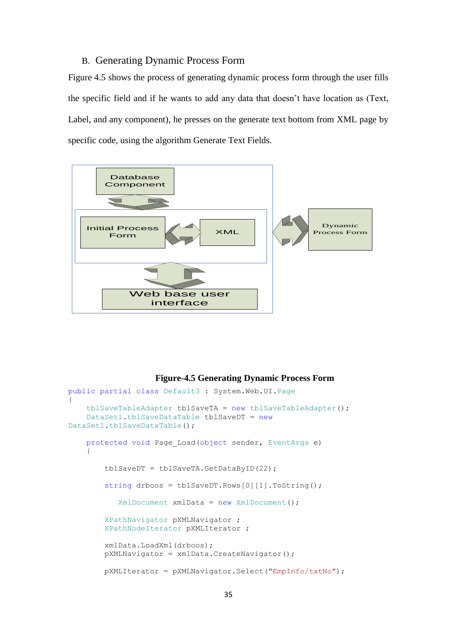#### B. Generating Dynamic Process Form

Figure 4.5 shows the process of generating dynamic process form through the user fills the specific field and if he wants to add any data that doesn't have location as (Text, Label, and any component), he presses on the generate text bottom from XML page by specific code, using the algorithm Generate Text Fields.



#### **Figure-4.5 Generating Dynamic Process Form**

```
public partial class Default3 : System.Web.UI.Page
{
     tblSaveTableAdapter tblSaveTA = new tblSaveTableAdapter();
     DataSet1.tblSaveDataTable tblSaveDT = new
DataSet1.tblSaveDataTable(); 
     protected void Page_Load(object sender, EventArgs e)
     {
         tblSaveDT = tblSaveTA.GetDataByID(22);
        string drboos = tblSaveDT.Rows[0][1].ToString();
           XmlDocument xmlData = new XMLDocument();
         XPathNavigator pXMLNavigator ;
         XPathNodeIterator pXMLIterator ;
         xmlData.LoadXml(drboos);
         pXMLNavigator = xmlData.CreateNavigator();
         pXMLIterator = pXMLNavigator.Select("EmpInfo/txtNo");
```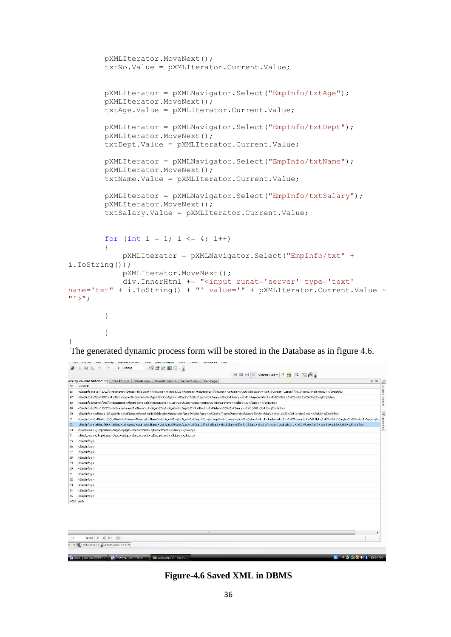```
 pXMLIterator.MoveNext();
                  txtNo.Value = pXMLIterator.Current.Value;
                  pXMLIterator = pXMLNavigator.Select("EmpInfo/txtAge");
                  pXMLIterator.MoveNext();
                  txtAge.Value = pXMLIterator.Current.Value;
                  pXMLIterator = pXMLNavigator.Select("EmpInfo/txtDept");
                  pXMLIterator.MoveNext();
                  txtDept.Value = pXMLIterator.Current.Value;
                  pXMLIterator = pXMLNavigator.Select("EmpInfo/txtName");
                  pXMLIterator.MoveNext();
                  txtName.Value = pXMLIterator.Current.Value;
                  pXMLIterator = pXMLNavigator.Select("EmpInfo/txtSalary");
                  pXMLIterator.MoveNext();
                  txtSalary.Value = pXMLIterator.Current.Value;
                 for (int i = 1; i \leq 4; i++)
 \{ pXMLIterator = pXMLNavigator.Select("EmpInfo/txt" + 
i.ToString());
                          pXMLIterator.MoveNext();
                          div.InnerHtml += "<input runat='server' type='text' 
name='txt" + i.ToString() + "' value='" + pXMLIterator.Current.Value + 
"'>";
                  }
  }
 }
 The generated dynamic process form will be stored in the Database as in figure 4.6.
 -1Q 2 X D -B 图 图 图 Change Type * | | 图 | 阳 图 。
                                                                                                                                              \cdot \timesave: Quer...DATABASE.MDF) Default3.aspx | Default.aspx | Default2.aspx.cs | Default2.aspx | Start Page |
 ID xmlNode
    <EmpInfo txtNo="1102"><txtName>Ahmad Yahia Saleh</txtName><txtAage>23</txtAage><txtDept>IT</txtDept><txtSalary>350</txtSalary>350</txt1>Jordan - Zarga</txt1><txt2>Male</txt2></tEmpInfo
 \overline{17}<EmpInfotxtNo="985"><txtName>aaa</txtName><txtAge>22</txtAge><txtDept>IT</txtDept><txtSalary>30</txt3alary<txt1><txt1>txt2>Male</txt2><txt3>C5</txt3><EmpInfo>
 18<EmpInfo EmpNo="965"><EmpName>Ahmad Yahia Saleh</EmpName><Age>23</Age><Department>00</Department><Salary>30</Salary></FmpInfo>
\overline{19}<EmpInfotxtNo="1102"><txtName>aaa</txtName><txtAge>23</txtAge><txtDept>IT</txtDept><txtSalary>350</txtSalary><txt1>101</txt1></EmpInfo
    {Emplnfo><txtNo>1102</txtNo><txtName>AhmadYahia Saleh</txtName><txtAge>29</txtAge><txtDept>1<txtSalary>30</txtSalary><txt1>123</txt1><txt2>qaw</txt2></Emplnfo><br><Emplnfo><txtNo>512</txtNo><txtName>Ahlam</txtName><txtAge>28<
\begin{array}{c} 20 \\ 21 \end{array}22 <EmpInfo><txtNo>706</txtNo><txtName>Yazan</txtName><txtAge>25</txtAge><txtDage>tDr<txtDage>txtDage><txtDage><txtDage><txtDage><txtDage><txtDage><txtDage><txtDage><txtDage><txtDage><txtDage><txtDage><txtDage><txtDage=
22 <br/> <br/>\begin{tabular}{ll} \textbf{23} & \textbf{Compln\'o} & \textbf{24} \\ \textbf{25} & \textbf{Complon} & \textbf{26} \\ \textbf{26} & \textbf{Complon} & \textbf{27} \\ \textbf{28} & \textbf{Complon} & \textbf{28} \\ \textbf{29} & \textbf{Complon} & \textbf{29} \\ \textbf{20} & \textbf{Complon} & \textbf{29} \\ \textbf{21} & \textbf{Complon} & \textbf{20} \\ \textbf{22} & \textbf{Complon} & \textbf{2<EmnName></EmnName><Age></Age></Denartment></Denartment><Salarv></Salarv></
    <EmpName></EmpName><Age></Age><Department></Department><Salary></>></></>
MALL MALL
        of 20 \rightarrow \rightarrow \rightarrow \rightarrow \rightarrow \rightarrowor List & Find Results 1 2 Find Symbol Results
2 MehSten (2) - Mini-Market Market Mini-Market (2) - Mini-Market (2) - Mini-Market (2) - Mini-
                                                                                                                                 CDDB (1) \frac{1}{2} (1) \frac{1}{2}
```
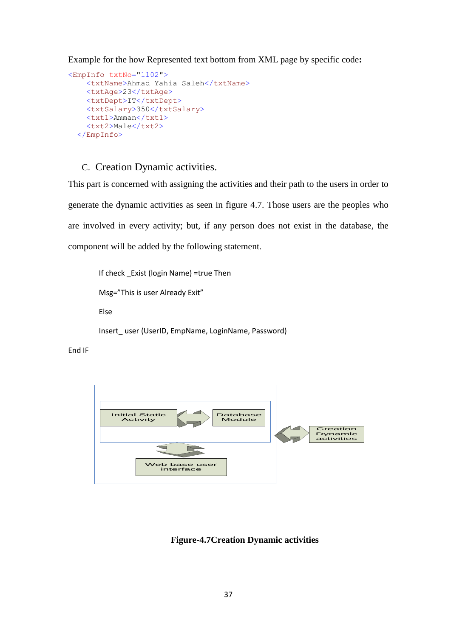Example for the how Represented text bottom from XML page by specific code**:**

```
<EmpInfo txtNo="1102">
     <txtName>Ahmad Yahia Saleh</txtName>
    <txtAge>23</txtAge>
   <txtDept>IT</txtDept>
    <txtSalary>350</txtSalary>
    <txt1>Amman</txt1>
     <txt2>Male</txt2>
  </EmpInfo>
```
#### C. Creation Dynamic activities.

```
This part is concerned with assigning the activities and their path to the users in order to 
generate the dynamic activities as seen in figure 4.7. Those users are the peoples who 
are involved in every activity; but, if any person does not exist in the database, the 
component will be added by the following statement.
```

```
If check Exist (login Name) =true Then
Msg="This is user Already Exit"
Else
Insert_user (UserID, EmpName, LoginName, Password)
```

```
End IF
```


**Figure-4.7Creation Dynamic activities**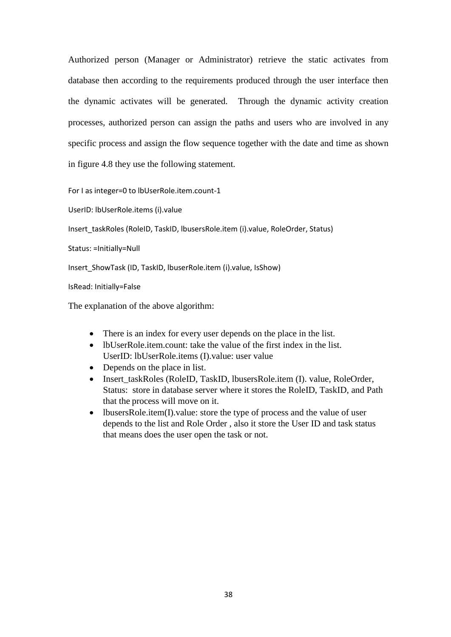Authorized person (Manager or Administrator) retrieve the static activates from database then according to the requirements produced through the user interface then the dynamic activates will be generated. Through the dynamic activity creation processes, authorized person can assign the paths and users who are involved in any specific process and assign the flow sequence together with the date and time as shown in figure 4.8 they use the following statement.

For I as integer=0 to lbUserRole.item.count-1

UserID: lbUserRole.items (i).value

Insert\_taskRoles (RoleID, TaskID, lbusersRole.item (i).value, RoleOrder, Status)

Status: =Initially=Null

Insert\_ShowTask (ID, TaskID, lbuserRole.item (i).value, IsShow)

IsRead: Initially=False

The explanation of the above algorithm:

- There is an index for every user depends on the place in the list.
- lbUserRole.item.count: take the value of the first index in the list. UserID: lbUserRole.items (I).value: user value
- Depends on the place in list.
- Insert taskRoles (RoleID, TaskID, lbusersRole.item (I). value, RoleOrder, Status: store in database server where it stores the RoleID, TaskID, and Path that the process will move on it.
- lbusersRole.item(I).value: store the type of process and the value of user depends to the list and Role Order , also it store the User ID and task status that means does the user open the task or not.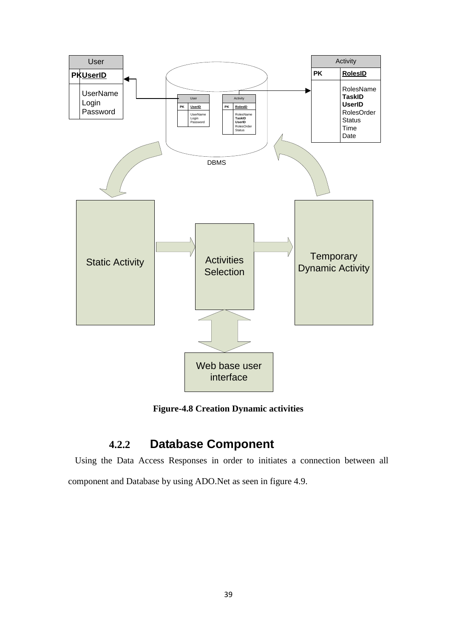

**Figure-4.8 Creation Dynamic activities**

### **4.2.2 Database Component**

 Using the Data Access Responses in order to initiates a connection between all component and Database by using ADO.Net as seen in figure 4.9.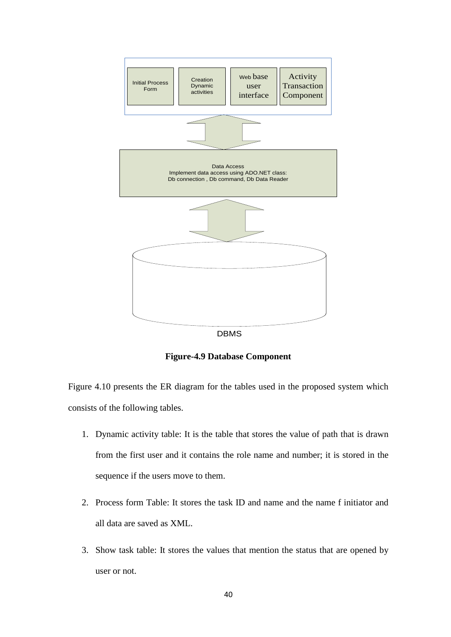

**Figure-4.9 Database Component**

Figure 4.10 presents the ER diagram for the tables used in the proposed system which consists of the following tables.

- 1. Dynamic activity table: It is the table that stores the value of path that is drawn from the first user and it contains the role name and number; it is stored in the sequence if the users move to them.
- 2. Process form Table: It stores the task ID and name and the name f initiator and all data are saved as XML.
- 3. Show task table: It stores the values that mention the status that are opened by user or not.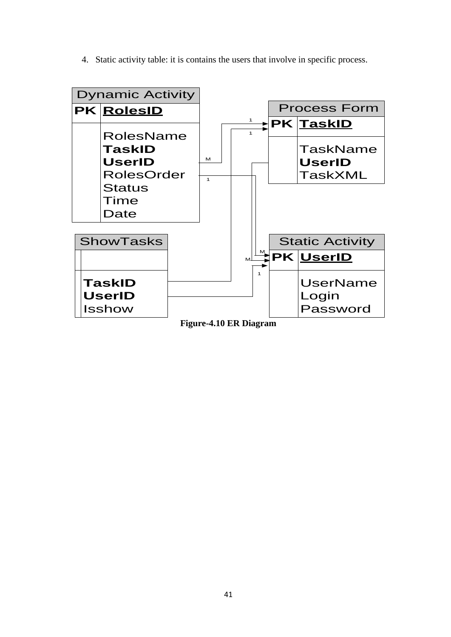4. Static activity table: it is contains the users that involve in specific process.



**Figure-4.10 ER Diagram**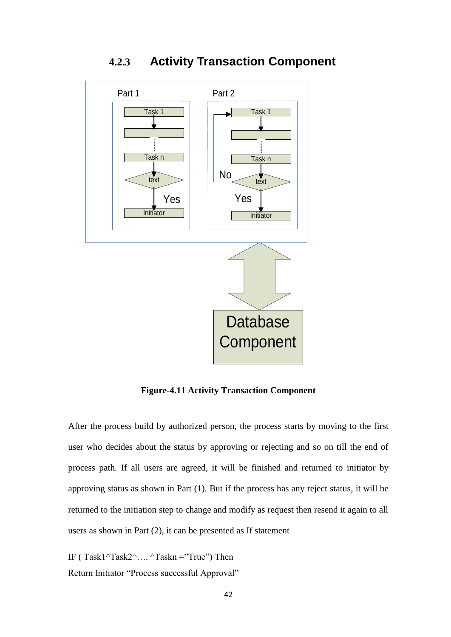

**4.2.3 Activity Transaction Component**

**Figure-4.11 Activity Transaction Component**

After the process build by authorized person, the process starts by moving to the first user who decides about the status by approving or rejecting and so on till the end of process path. If all users are agreed, it will be finished and returned to initiator by approving status as shown in Part (1). But if the process has any reject status, it will be returned to the initiation step to change and modify as request then resend it again to all users as shown in Part (2), it can be presented as If statement

IF ( $Task1^{\text{th}}$ Task $2^{\text{th}}$ ....  $^{\text{th}}$ Taskn ="True") Then Return Initiator "Process successful Approval"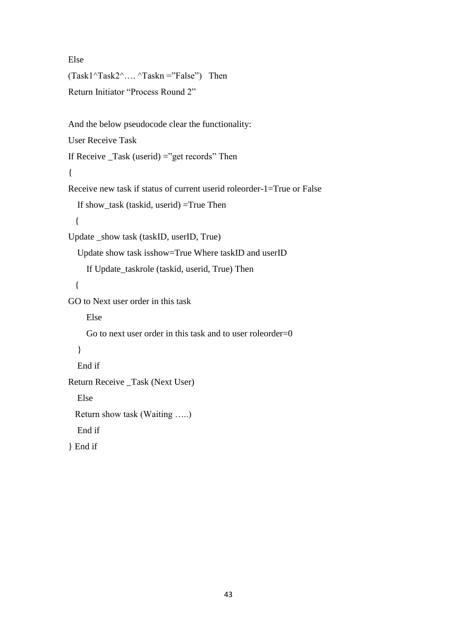Else  $(Task1^Task2^T...$   $Taskn = "False")$  Then Return Initiator "Process Round 2" And the below pseudocode clear the functionality: User Receive Task If Receive  $\text{Task}$  (userid) = "get records" Then { Receive new task if status of current userid roleorder-1=True or False If show\_task (taskid, userid) =True Then { Update \_show task (taskID, userID, True) Update show task isshow=True Where taskID and userID If Update\_taskrole (taskid, userid, True) Then { GO to Next user order in this task Else Go to next user order in this task and to user roleorder=0 } End if Return Receive \_Task (Next User) Else Return show task (Waiting …..) End if } End if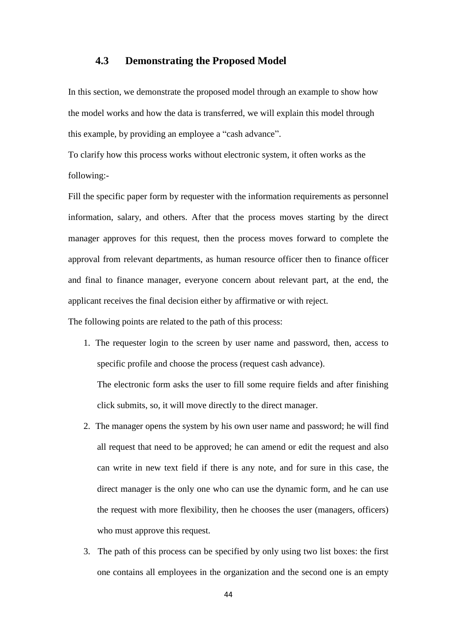#### **4.3 Demonstrating the Proposed Model**

In this section, we demonstrate the proposed model through an example to show how the model works and how the data is transferred, we will explain this model through this example, by providing an employee a "cash advance".

To clarify how this process works without electronic system, it often works as the following:-

Fill the specific paper form by requester with the information requirements as personnel information, salary, and others. After that the process moves starting by the direct manager approves for this request, then the process moves forward to complete the approval from relevant departments, as human resource officer then to finance officer and final to finance manager, everyone concern about relevant part, at the end, the applicant receives the final decision either by affirmative or with reject.

The following points are related to the path of this process:

1. The requester login to the screen by user name and password, then, access to specific profile and choose the process (request cash advance).

The electronic form asks the user to fill some require fields and after finishing click submits, so, it will move directly to the direct manager.

- 2. The manager opens the system by his own user name and password; he will find all request that need to be approved; he can amend or edit the request and also can write in new text field if there is any note, and for sure in this case, the direct manager is the only one who can use the dynamic form, and he can use the request with more flexibility, then he chooses the user (managers, officers) who must approve this request.
- 3. The path of this process can be specified by only using two list boxes: the first one contains all employees in the organization and the second one is an empty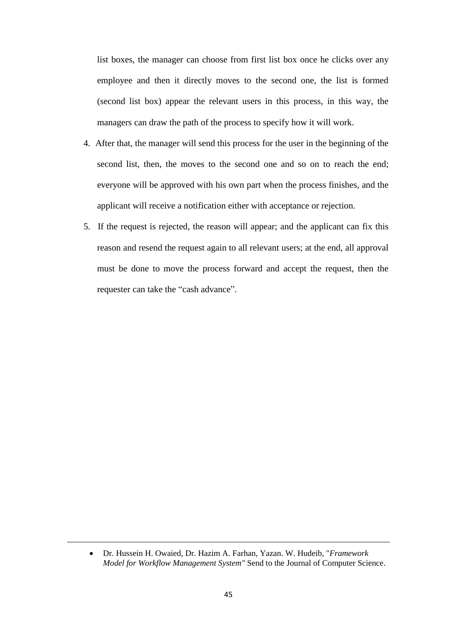list boxes, the manager can choose from first list box once he clicks over any employee and then it directly moves to the second one, the list is formed (second list box) appear the relevant users in this process, in this way, the managers can draw the path of the process to specify how it will work.

- 4. After that, the manager will send this process for the user in the beginning of the second list, then, the moves to the second one and so on to reach the end; everyone will be approved with his own part when the process finishes, and the applicant will receive a notification either with acceptance or rejection.
- 5. If the request is rejected, the reason will appear; and the applicant can fix this reason and resend the request again to all relevant users; at the end, all approval must be done to move the process forward and accept the request, then the requester can take the "cash advance".

Dr. Hussein H. Owaied, Dr. Hazim A. Farhan, Yazan. W. Hudeib, "*Framework Model for Workflow Management System"* Send to the Journal of Computer Science.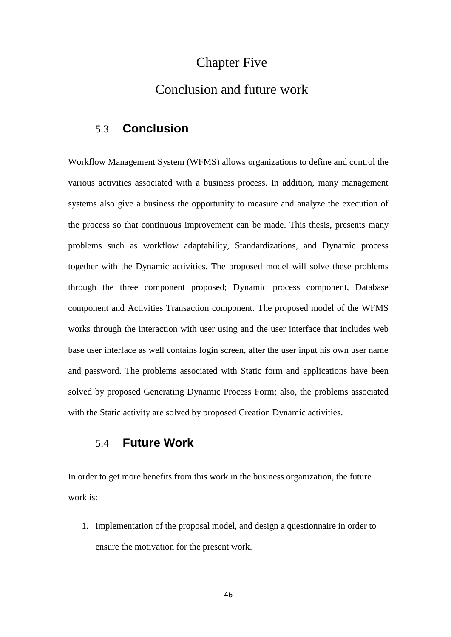### Chapter Five

### Conclusion and future work

### 5.3 **Conclusion**

Workflow Management System (WFMS) allows organizations to define and control the various activities associated with a business process. In addition, many management systems also give a business the opportunity to measure and analyze the execution of the process so that continuous improvement can be made. This thesis, presents many problems such as workflow adaptability, Standardizations, and Dynamic process together with the Dynamic activities. The proposed model will solve these problems through the three component proposed; Dynamic process component, Database component and Activities Transaction component. The proposed model of the WFMS works through the interaction with user using and the user interface that includes web base user interface as well contains login screen, after the user input his own user name and password. The problems associated with Static form and applications have been solved by proposed Generating Dynamic Process Form; also, the problems associated with the Static activity are solved by proposed Creation Dynamic activities.

### 5.4 **Future Work**

In order to get more benefits from this work in the business organization, the future work is:

1. Implementation of the proposal model, and design a questionnaire in order to ensure the motivation for the present work.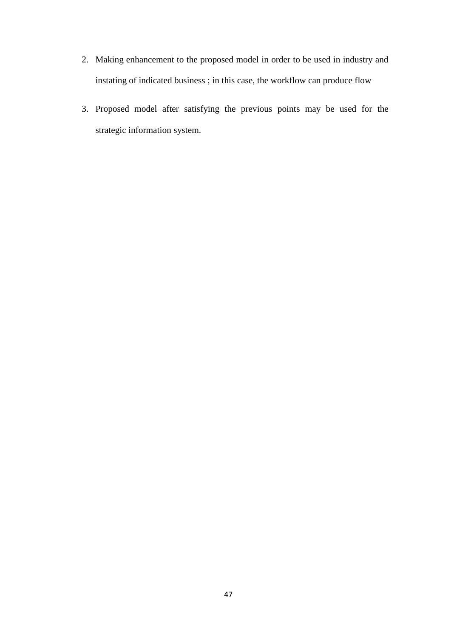- 2. Making enhancement to the proposed model in order to be used in industry and instating of indicated business ; in this case, the workflow can produce flow
- 3. Proposed model after satisfying the previous points may be used for the strategic information system.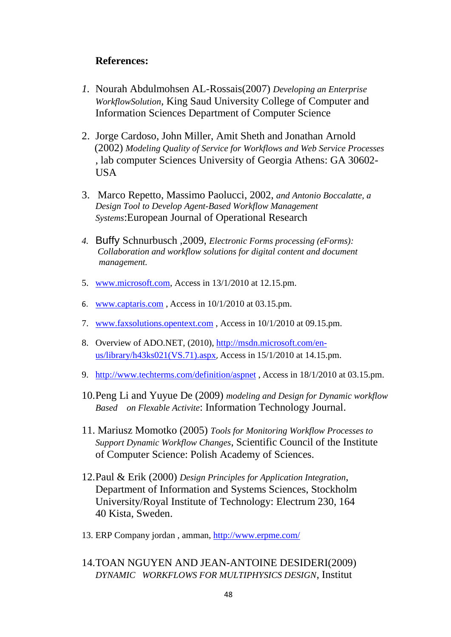### **References:**

- *1.* Nourah Abdulmohsen AL-Rossais(2007) *Developing an Enterprise WorkflowSolution,* King Saud University College of Computer and Information Sciences Department of Computer Science
- 2. Jorge Cardoso, John Miller, Amit Sheth and Jonathan Arnold (2002) *Modeling Quality of Service for Workflows and Web Service Processes* , lab computer Sciences University of Georgia Athens: GA 30602- USA
- 3. Marco Repetto, Massimo Paolucci, 2002, *and Antonio Boccalatte, a Design Tool to Develop Agent-Based Workflow Management Systems*:European Journal of Operational Research
- *4.* Buffy Schnurbusch ,2009, *Electronic Forms processing (eForms): Collaboration and workflow solutions for digital content and document management.*
- 5. [www.microsoft.com,](http://www.microsoft.com/) Access in 13/1/2010 at 12.15.pm.
- 6. [www.captaris.com](http://www.captaris.com/) , Access in 10/1/2010 at 03.15.pm.
- 7. [www.faxsolutions.opentext.com](http://www.faxsolutions.opentext.com/) , Access in 10/1/2010 at 09.15.pm.
- 8. Overview of ADO.NET, (2010), [http://msdn.microsoft.com/en](http://msdn.microsoft.com/en-us/library/h43ks021(VS.71).aspx)[us/library/h43ks021\(VS.71\).aspx](http://msdn.microsoft.com/en-us/library/h43ks021(VS.71).aspx), Access in 15/1/2010 at 14.15.pm.
- 9. <http://www.techterms.com/definition/aspnet> , Access in 18/1/2010 at 03.15.pm.
- 10.Peng Li and Yuyue De (2009) *modeling and Design for Dynamic workflow Based on Flexable Activite*: Information Technology Journal.
- 11. Mariusz Momotko (2005) *Tools for Monitoring Workflow Processes to Support Dynamic Workflow Changes*, Scientific Council of the Institute of Computer Science: Polish Academy of Sciences.
- 12.Paul & Erik (2000) *Design Principles for Application Integration*, Department of Information and Systems Sciences, Stockholm University/Royal Institute of Technology: Electrum 230, 164 40 Kista, Sweden.
- 13. ERP Company jordan , amman,<http://www.erpme.com/>
- 14.TOAN NGUYEN AND JEAN-ANTOINE DESIDERI(2009) *DYNAMIC WORKFLOWS FOR MULTIPHYSICS DESIGN*, Institut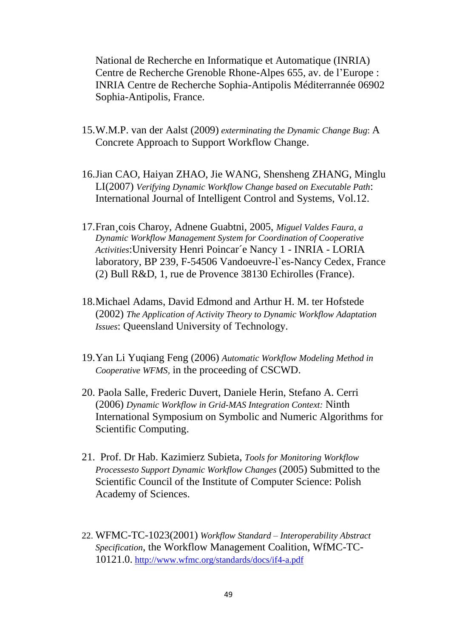National de Recherche en Informatique et Automatique (INRIA) Centre de Recherche Grenoble Rhone-Alpes 655, av. de l'Europe : INRIA Centre de Recherche Sophia-Antipolis Méditerrannée 06902 Sophia-Antipolis, France.

- 15.W.M.P. van der Aalst (2009) *exterminating the Dynamic Change Bug*: A Concrete Approach to Support Workflow Change.
- 16.Jian CAO, Haiyan ZHAO, Jie WANG, Shensheng ZHANG, Minglu LI(2007) *Verifying Dynamic Workflow Change based on Executable Path*: International Journal of Intelligent Control and Systems, Vol.12.
- 17.Fran¸cois Charoy, Adnene Guabtni, 2005, *Miguel Valdes Faura, a Dynamic Workflow Management System for Coordination of Cooperative Activities*:University Henri Poincar´e Nancy 1 - INRIA - LORIA laboratory, BP 239, F-54506 Vandoeuvre-l`es-Nancy Cedex, France (2) Bull R&D, 1, rue de Provence 38130 Echirolles (France).
- 18.Michael Adams, David Edmond and Arthur H. M. ter Hofstede (2002) *The Application of Activity Theory to Dynamic Workflow Adaptation Issues*: Queensland University of Technology.
- 19.Yan Li Yuqiang Feng (2006) *Automatic Workflow Modeling Method in Cooperative WFMS,* in the proceeding of CSCWD.
- 20. Paola Salle, Frederic Duvert, Daniele Herin, Stefano A. Cerri (2006) *Dynamic Workflow in Grid-MAS Integration Context:* Ninth International Symposium on Symbolic and Numeric Algorithms for Scientific Computing.
- 21. Prof. Dr Hab. Kazimierz Subieta, *Tools for Monitoring Workflow Processesto Support Dynamic Workflow Changes* (2005) Submitted to the Scientific Council of the Institute of Computer Science: Polish Academy of Sciences.
- 22. WFMC-TC-1023(2001) *Workflow Standard – Interoperability Abstract Specification*, the Workflow Management Coalition, WfMC-TC-10121.0. <http://www.wfmc.org/standards/docs/if4-a.pdf>